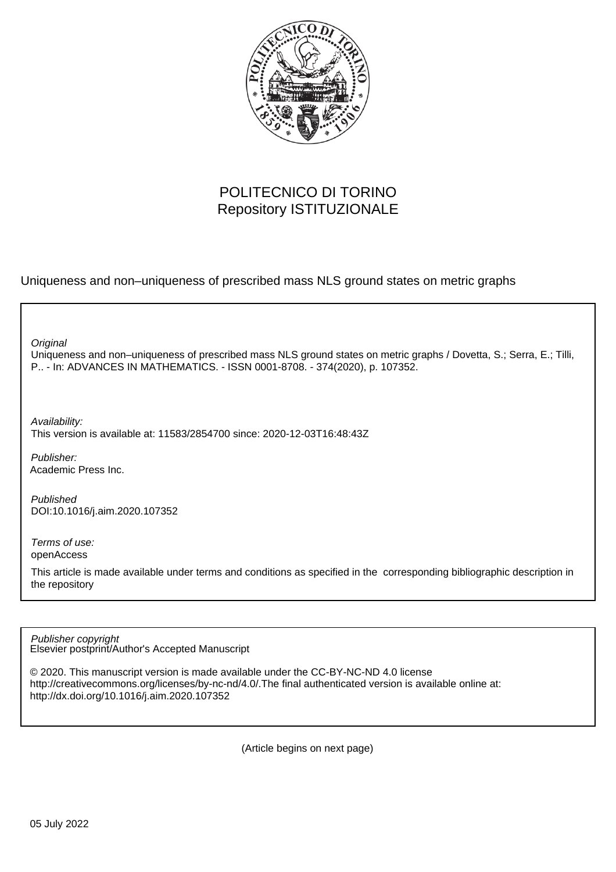

## POLITECNICO DI TORINO Repository ISTITUZIONALE

Uniqueness and non–uniqueness of prescribed mass NLS ground states on metric graphs

**Original** 

Uniqueness and non–uniqueness of prescribed mass NLS ground states on metric graphs / Dovetta, S.; Serra, E.; Tilli, P.. - In: ADVANCES IN MATHEMATICS. - ISSN 0001-8708. - 374(2020), p. 107352.

Availability:

This version is available at: 11583/2854700 since: 2020-12-03T16:48:43Z

Publisher: Academic Press Inc.

Published DOI:10.1016/j.aim.2020.107352

Terms of use: openAccess

This article is made available under terms and conditions as specified in the corresponding bibliographic description in the repository

Elsevier postprint/Author's Accepted Manuscript Publisher copyright

© 2020. This manuscript version is made available under the CC-BY-NC-ND 4.0 license http://creativecommons.org/licenses/by-nc-nd/4.0/.The final authenticated version is available online at: http://dx.doi.org/10.1016/j.aim.2020.107352

(Article begins on next page)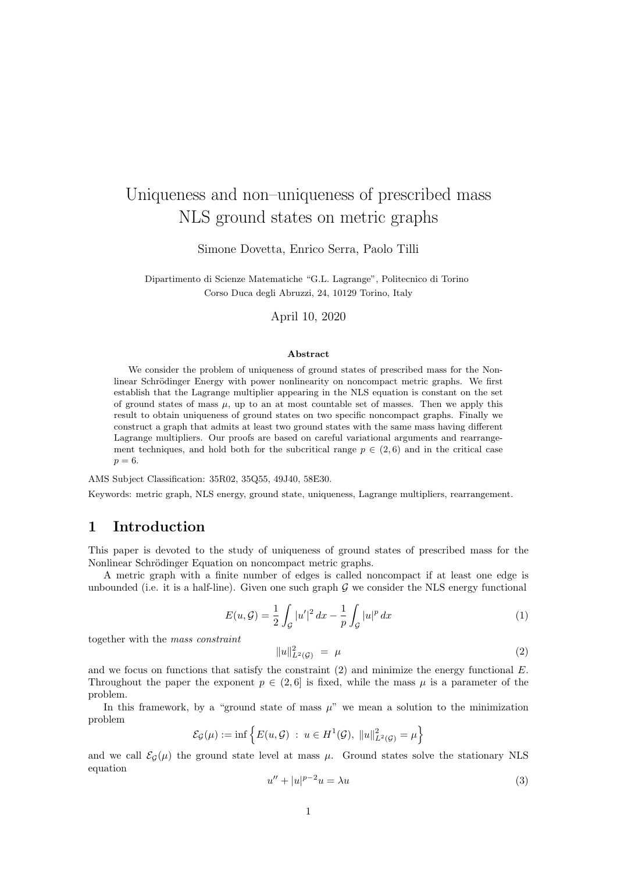# Uniqueness and non–uniqueness of prescribed mass NLS ground states on metric graphs

Simone Dovetta, Enrico Serra, Paolo Tilli

Dipartimento di Scienze Matematiche "G.L. Lagrange", Politecnico di Torino Corso Duca degli Abruzzi, 24, 10129 Torino, Italy

April 10, 2020

#### Abstract

We consider the problem of uniqueness of ground states of prescribed mass for the Nonlinear Schrödinger Energy with power nonlinearity on noncompact metric graphs. We first establish that the Lagrange multiplier appearing in the NLS equation is constant on the set of ground states of mass  $\mu$ , up to an at most countable set of masses. Then we apply this result to obtain uniqueness of ground states on two specific noncompact graphs. Finally we construct a graph that admits at least two ground states with the same mass having different Lagrange multipliers. Our proofs are based on careful variational arguments and rearrangement techniques, and hold both for the subcritical range  $p \in (2, 6)$  and in the critical case  $p=6$ .

AMS Subject Classification: 35R02, 35Q55, 49J40, 58E30.

Keywords: metric graph, NLS energy, ground state, uniqueness, Lagrange multipliers, rearrangement.

## 1 Introduction

This paper is devoted to the study of uniqueness of ground states of prescribed mass for the Nonlinear Schrödinger Equation on noncompact metric graphs.

A metric graph with a finite number of edges is called noncompact if at least one edge is unbounded (i.e. it is a half-line). Given one such graph  $G$  we consider the NLS energy functional

$$
E(u, \mathcal{G}) = \frac{1}{2} \int_{\mathcal{G}} |u'|^2 \, dx - \frac{1}{p} \int_{\mathcal{G}} |u|^p \, dx \tag{1}
$$

together with the mass constraint

$$
||u||_{L^{2}(\mathcal{G})}^{2} = \mu \tag{2}
$$

and we focus on functions that satisfy the constraint  $(2)$  and minimize the energy functional E. Throughout the paper the exponent  $p \in (2, 6]$  is fixed, while the mass  $\mu$  is a parameter of the problem.

In this framework, by a "ground state of mass  $\mu$ " we mean a solution to the minimization problem

$$
\mathcal{E}_{\mathcal{G}}(\mu) := \inf \left\{ E(u, \mathcal{G}) \ : \ u \in H^1(\mathcal{G}), \ \|u\|_{L^2(\mathcal{G})}^2 = \mu \right\}
$$

and we call  $\mathcal{E}_{\mathcal{G}}(\mu)$  the ground state level at mass  $\mu$ . Ground states solve the stationary NLS equation

$$
u'' + |u|^{p-2}u = \lambda u \tag{3}
$$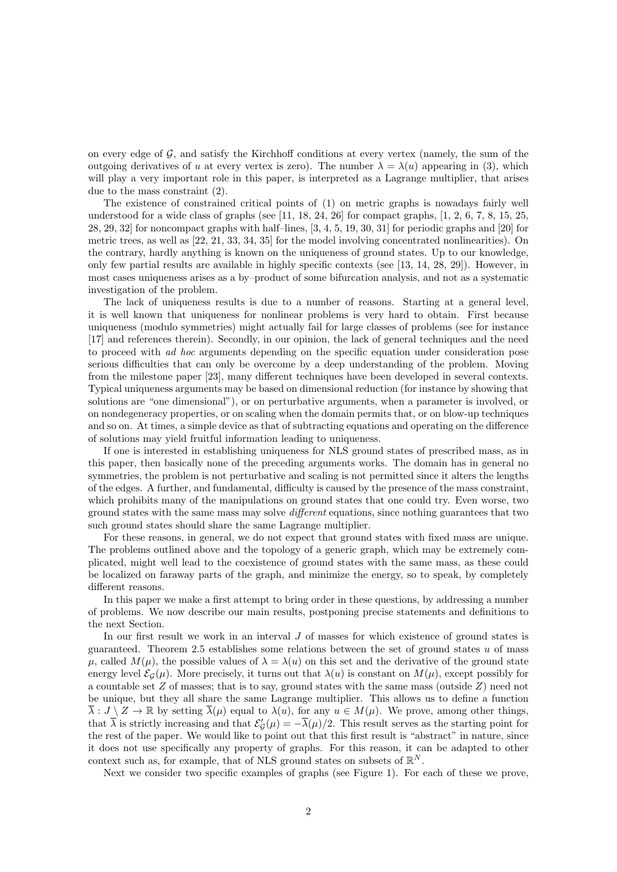on every edge of  $\mathcal{G}$ , and satisfy the Kirchhoff conditions at every vertex (namely, the sum of the outgoing derivatives of u at every vertex is zero). The number  $\lambda = \lambda(u)$  appearing in (3), which will play a very important role in this paper, is interpreted as a Lagrange multiplier, that arises due to the mass constraint (2).

The existence of constrained critical points of (1) on metric graphs is nowadays fairly well understood for a wide class of graphs (see [11, 18, 24, 26] for compact graphs, [1, 2, 6, 7, 8, 15, 25, 28, 29, 32] for noncompact graphs with half–lines, [3, 4, 5, 19, 30, 31] for periodic graphs and [20] for metric trees, as well as [22, 21, 33, 34, 35] for the model involving concentrated nonlinearities). On the contrary, hardly anything is known on the uniqueness of ground states. Up to our knowledge, only few partial results are available in highly specific contexts (see [13, 14, 28, 29]). However, in most cases uniqueness arises as a by–product of some bifurcation analysis, and not as a systematic investigation of the problem.

The lack of uniqueness results is due to a number of reasons. Starting at a general level, it is well known that uniqueness for nonlinear problems is very hard to obtain. First because uniqueness (modulo symmetries) might actually fail for large classes of problems (see for instance [17] and references therein). Secondly, in our opinion, the lack of general techniques and the need to proceed with *ad hoc* arguments depending on the specific equation under consideration pose serious difficulties that can only be overcome by a deep understanding of the problem. Moving from the milestone paper [23], many different techniques have been developed in several contexts. Typical uniqueness arguments may be based on dimensional reduction (for instance by showing that solutions are "one dimensional"), or on perturbative arguments, when a parameter is involved, or on nondegeneracy properties, or on scaling when the domain permits that, or on blow-up techniques and so on. At times, a simple device as that of subtracting equations and operating on the difference of solutions may yield fruitful information leading to uniqueness.

If one is interested in establishing uniqueness for NLS ground states of prescribed mass, as in this paper, then basically none of the preceding arguments works. The domain has in general no symmetries, the problem is not perturbative and scaling is not permitted since it alters the lengths of the edges. A further, and fundamental, difficulty is caused by the presence of the mass constraint, which prohibits many of the manipulations on ground states that one could try. Even worse, two ground states with the same mass may solve *different* equations, since nothing guarantees that two such ground states should share the same Lagrange multiplier.

For these reasons, in general, we do not expect that ground states with fixed mass are unique. The problems outlined above and the topology of a generic graph, which may be extremely complicated, might well lead to the coexistence of ground states with the same mass, as these could be localized on faraway parts of the graph, and minimize the energy, so to speak, by completely different reasons.

In this paper we make a first attempt to bring order in these questions, by addressing a number of problems. We now describe our main results, postponing precise statements and definitions to the next Section.

In our first result we work in an interval J of masses for which existence of ground states is guaranteed. Theorem 2.5 establishes some relations between the set of ground states  $u$  of mass  $\mu$ , called  $M(\mu)$ , the possible values of  $\lambda = \lambda(u)$  on this set and the derivative of the ground state energy level  $\mathcal{E}_G(\mu)$ . More precisely, it turns out that  $\lambda(u)$  is constant on  $M(\mu)$ , except possibly for a countable set  $Z$  of masses; that is to say, ground states with the same mass (outside  $Z$ ) need not be unique, but they all share the same Lagrange multiplier. This allows us to define a function  $\overline{\lambda}: J \setminus Z \to \mathbb{R}$  by setting  $\overline{\lambda}(\mu)$  equal to  $\lambda(u)$ , for any  $u \in M(\mu)$ . We prove, among other things, that  $\overline{\lambda}$  is strictly increasing and that  $\mathcal{E}'_g(\mu) = -\overline{\lambda}(\mu)/2$ . This result serves as the starting point for the rest of the paper. We would like to point out that this first result is "abstract" in nature, since it does not use specifically any property of graphs. For this reason, it can be adapted to other context such as, for example, that of NLS ground states on subsets of  $\mathbb{R}^N$ .

Next we consider two specific examples of graphs (see Figure 1). For each of these we prove,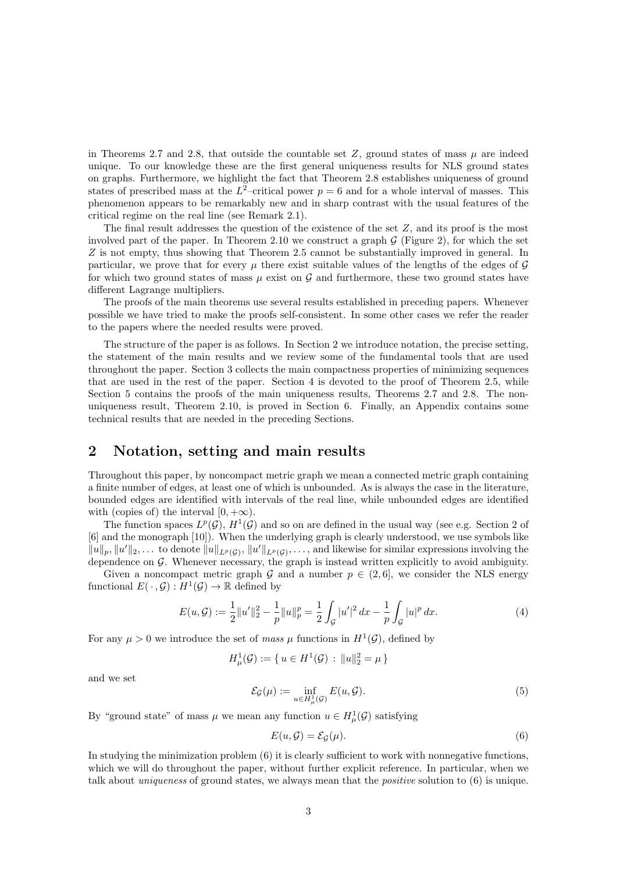in Theorems 2.7 and 2.8, that outside the countable set  $Z$ , ground states of mass  $\mu$  are indeed unique. To our knowledge these are the first general uniqueness results for NLS ground states on graphs. Furthermore, we highlight the fact that Theorem 2.8 establishes uniqueness of ground states of prescribed mass at the  $L^2$ -critical power  $p = 6$  and for a whole interval of masses. This phenomenon appears to be remarkably new and in sharp contrast with the usual features of the critical regime on the real line (see Remark 2.1).

The final result addresses the question of the existence of the set Z, and its proof is the most involved part of the paper. In Theorem 2.10 we construct a graph  $\mathcal G$  (Figure 2), for which the set Z is not empty, thus showing that Theorem 2.5 cannot be substantially improved in general. In particular, we prove that for every  $\mu$  there exist suitable values of the lengths of the edges of  $\mathcal G$ for which two ground states of mass  $\mu$  exist on  $\mathcal G$  and furthermore, these two ground states have different Lagrange multipliers.

The proofs of the main theorems use several results established in preceding papers. Whenever possible we have tried to make the proofs self-consistent. In some other cases we refer the reader to the papers where the needed results were proved.

The structure of the paper is as follows. In Section 2 we introduce notation, the precise setting, the statement of the main results and we review some of the fundamental tools that are used throughout the paper. Section 3 collects the main compactness properties of minimizing sequences that are used in the rest of the paper. Section 4 is devoted to the proof of Theorem 2.5, while Section 5 contains the proofs of the main uniqueness results, Theorems 2.7 and 2.8. The nonuniqueness result, Theorem 2.10, is proved in Section 6. Finally, an Appendix contains some technical results that are needed in the preceding Sections.

## 2 Notation, setting and main results

Throughout this paper, by noncompact metric graph we mean a connected metric graph containing a finite number of edges, at least one of which is unbounded. As is always the case in the literature, bounded edges are identified with intervals of the real line, while unbounded edges are identified with (copies of) the interval  $[0, +\infty)$ .

The function spaces  $L^p(G)$ ,  $H^1(G)$  and so on are defined in the usual way (see e.g. Section 2 of [6] and the monograph [10]). When the underlying graph is clearly understood, we use symbols like  $||u||_p, ||u'||_2, \ldots$  to denote  $||u||_{L^p(G)}, ||u'||_{L^p(G)}, \ldots$ , and likewise for similar expressions involving the dependence on  $G$ . Whenever necessary, the graph is instead written explicitly to avoid ambiguity.

Given a noncompact metric graph G and a number  $p \in (2, 6]$ , we consider the NLS energy functional  $E(\cdot, \mathcal{G}): H^1(\mathcal{G}) \to \mathbb{R}$  defined by

$$
E(u, \mathcal{G}) := \frac{1}{2} ||u'||_2^2 - \frac{1}{p} ||u||_p^p = \frac{1}{2} \int_{\mathcal{G}} |u'|^2 dx - \frac{1}{p} \int_{\mathcal{G}} |u|^p dx.
$$
 (4)

For any  $\mu > 0$  we introduce the set of mass  $\mu$  functions in  $H^1(\mathcal{G})$ , defined by

$$
H^1_{\mu}(\mathcal{G}) := \{ u \in H^1(\mathcal{G}) : ||u||_2^2 = \mu \}
$$

and we set

$$
\mathcal{E}_{\mathcal{G}}(\mu) := \inf_{u \in H^1_{\mu}(\mathcal{G})} E(u, \mathcal{G}).
$$
\n(5)

By "ground state" of mass  $\mu$  we mean any function  $u \in H^1_\mu(\mathcal{G})$  satisfying

$$
E(u, \mathcal{G}) = \mathcal{E}_{\mathcal{G}}(\mu). \tag{6}
$$

In studying the minimization problem (6) it is clearly sufficient to work with nonnegative functions, which we will do throughout the paper, without further explicit reference. In particular, when we talk about *uniqueness* of ground states, we always mean that the *positive* solution to  $(6)$  is unique.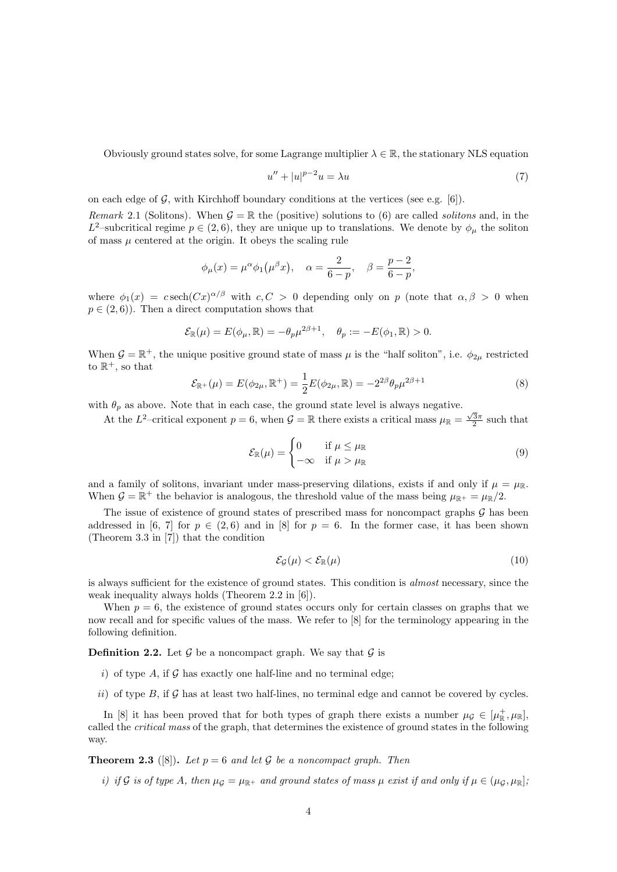Obviously ground states solve, for some Lagrange multiplier  $\lambda \in \mathbb{R}$ , the stationary NLS equation

$$
u'' + |u|^{p-2}u = \lambda u \tag{7}
$$

on each edge of  $G$ , with Kirchhoff boundary conditions at the vertices (see e.g. [6]).

Remark 2.1 (Solitons). When  $\mathcal{G} = \mathbb{R}$  the (positive) solutions to (6) are called *solitons* and, in the L<sup>2</sup>-subcritical regime  $p \in (2,6)$ , they are unique up to translations. We denote by  $\phi_{\mu}$  the soliton of mass  $\mu$  centered at the origin. It obeys the scaling rule

$$
\phi_{\mu}(x) = \mu^{\alpha} \phi_1(\mu^{\beta} x), \quad \alpha = \frac{2}{6-p}, \quad \beta = \frac{p-2}{6-p},
$$

where  $\phi_1(x) = c \operatorname{sech}(Cx)^{\alpha/\beta}$  with  $c, C > 0$  depending only on p (note that  $\alpha, \beta > 0$  when  $p \in (2, 6)$ . Then a direct computation shows that

$$
\mathcal{E}_{\mathbb{R}}(\mu) = E(\phi_{\mu}, \mathbb{R}) = -\theta_p \mu^{2\beta+1}, \quad \theta_p := -E(\phi_1, \mathbb{R}) > 0.
$$

When  $\mathcal{G} = \mathbb{R}^+$ , the unique positive ground state of mass  $\mu$  is the "half soliton", i.e.  $\phi_{2\mu}$  restricted to  $\mathbb{R}^+$ , so that

$$
\mathcal{E}_{\mathbb{R}^+}(\mu) = E(\phi_{2\mu}, \mathbb{R}^+) = \frac{1}{2} E(\phi_{2\mu}, \mathbb{R}) = -2^{2\beta} \theta_p \mu^{2\beta + 1}
$$
\n(8)

with  $\theta_p$  as above. Note that in each case, the ground state level is always negative.

At the  $L^2$ -critical exponent  $p = 6$ , when  $\mathcal{G} = \mathbb{R}$  there exists a critical mass  $\mu_{\mathbb{R}} = \frac{\sqrt{3}\pi}{2}$  such that

$$
\mathcal{E}_{\mathbb{R}}(\mu) = \begin{cases} 0 & \text{if } \mu \le \mu_{\mathbb{R}} \\ -\infty & \text{if } \mu > \mu_{\mathbb{R}} \end{cases}
$$
(9)

and a family of solitons, invariant under mass-preserving dilations, exists if and only if  $\mu = \mu_{\mathbb{R}}$ . When  $G = \mathbb{R}^+$  the behavior is analogous, the threshold value of the mass being  $\mu_{\mathbb{R}^+} = \mu_{\mathbb{R}}/2$ .

The issue of existence of ground states of prescribed mass for noncompact graphs  $\mathcal G$  has been addressed in [6, 7] for  $p \in (2, 6)$  and in [8] for  $p = 6$ . In the former case, it has been shown (Theorem 3.3 in [7]) that the condition

$$
\mathcal{E}_{\mathcal{G}}(\mu) < \mathcal{E}_{\mathbb{R}}(\mu) \tag{10}
$$

is always sufficient for the existence of ground states. This condition is almost necessary, since the weak inequality always holds (Theorem 2.2 in [6]).

When  $p = 6$ , the existence of ground states occurs only for certain classes on graphs that we now recall and for specific values of the mass. We refer to [8] for the terminology appearing in the following definition.

**Definition 2.2.** Let  $\mathcal{G}$  be a noncompact graph. We say that  $\mathcal{G}$  is

- i) of type A, if  $\mathcal G$  has exactly one half-line and no terminal edge;
- ii) of type  $B$ , if  $\mathcal G$  has at least two half-lines, no terminal edge and cannot be covered by cycles.

In [8] it has been proved that for both types of graph there exists a number  $\mu_{\mathcal{G}} \in [\mu_{\mathbb{R}}^+, \mu_{\mathbb{R}}]$ , called the critical mass of the graph, that determines the existence of ground states in the following way.

**Theorem 2.3** ([8]). Let  $p = 6$  and let G be a noncompact graph. Then

i) if G is of type A, then  $\mu_G = \mu_{\mathbb{R}^+}$  and ground states of mass  $\mu$  exist if and only if  $\mu \in (\mu_G, \mu_{\mathbb{R}})$ ;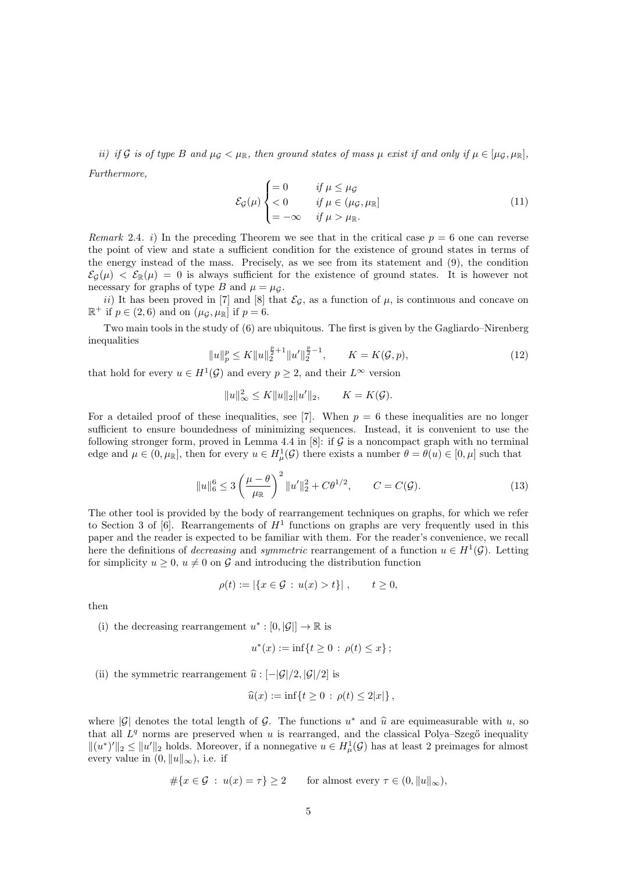ii) if G is of type B and  $\mu_G < \mu_{\mathbb{R}}$ , then ground states of mass  $\mu$  exist if and only if  $\mu \in [\mu_G, \mu_{\mathbb{R}}]$ . Furthermore,

$$
\mathcal{E}_{\mathcal{G}}(\mu) \begin{cases} = 0 & \text{if } \mu \leq \mu_{\mathcal{G}} \\ < 0 & \text{if } \mu \in (\mu_{\mathcal{G}}, \mu_{\mathbb{R}}] \\ = -\infty & \text{if } \mu > \mu_{\mathbb{R}}. \end{cases} \tag{11}
$$

Remark 2.4. i) In the preceding Theorem we see that in the critical case  $p = 6$  one can reverse the point of view and state a sufficient condition for the existence of ground states in terms of the energy instead of the mass. Precisely, as we see from its statement and (9), the condition  $\mathcal{E}_G(\mu) < \mathcal{E}_{\mathbb{R}}(\mu) = 0$  is always sufficient for the existence of ground states. It is however not necessary for graphs of type B and  $\mu = \mu_{\mathcal{G}}$ .

ii) It has been proved in [7] and [8] that  $\mathcal{E}_{\mathcal{G}}$ , as a function of  $\mu$ , is continuous and concave on  $\mathbb{R}^+$  if  $p \in (2, 6)$  and on  $(\mu_{\mathcal{G}}, \mu_{\mathbb{R}}]$  if  $p = 6$ .

Two main tools in the study of (6) are ubiquitous. The first is given by the Gagliardo–Nirenberg inequalities

$$
||u||_p^p \le K||u||_2^{\frac{p}{2}+1}||u'||_2^{\frac{p}{2}-1}, \qquad K = K(\mathcal{G}, p), \tag{12}
$$

that hold for every  $u \in H^1(\mathcal{G})$  and every  $p \geq 2$ , and their  $L^{\infty}$  version

$$
||u||_{\infty}^2 \le K||u||_2||u'||_2,
$$
  $K = K(G).$ 

For a detailed proof of these inequalities, see [7]. When  $p = 6$  these inequalities are no longer sufficient to ensure boundedness of minimizing sequences. Instead, it is convenient to use the following stronger form, proved in Lemma 4.4 in [8]: if  $\mathcal G$  is a noncompact graph with no terminal edge and  $\mu \in (0, \mu_{\mathbb{R}}]$ , then for every  $u \in H^1_\mu(\mathcal{G})$  there exists a number  $\theta = \theta(u) \in [0, \mu]$  such that

$$
||u||_6^6 \le 3\left(\frac{\mu-\theta}{\mu_{\mathbb{R}}}\right)^2 ||u'||_2^2 + C\theta^{1/2}, \qquad C = C(\mathcal{G}).
$$
\n(13)

The other tool is provided by the body of rearrangement techniques on graphs, for which we refer to Section 3 of [6]. Rearrangements of  $H<sup>1</sup>$  functions on graphs are very frequently used in this paper and the reader is expected to be familiar with them. For the reader's convenience, we recall here the definitions of *decreasing* and *symmetric* rearrangement of a function  $u \in H^1(\mathcal{G})$ . Letting for simplicity  $u \geq 0$ ,  $u \neq 0$  on G and introducing the distribution function

$$
\rho(t) := |\{x \in \mathcal{G} : u(x) > t\}|, \quad t \ge 0,
$$

then

(i) the decreasing rearrangement  $u^*: [0, |\mathcal{G}|] \to \mathbb{R}$  is

$$
u^*(x) := \inf\{t \ge 0 \, : \, \rho(t) \le x\} \, ;
$$

(ii) the symmetric rearrangement  $\hat{u}$  :  $[-|\mathcal{G}|/2, |\mathcal{G}|/2]$  is

$$
\widehat{u}(x) := \inf\{t \ge 0 : \rho(t) \le 2|x|\},\,
$$

where  $|\mathcal{G}|$  denotes the total length of  $\mathcal{G}$ . The functions  $u^*$  and  $\hat{u}$  are equimeasurable with u, so that all  $I^q$  norms are prosecured when u is rearranged, and the classical Polya-Szopő inequality that all  $L<sup>q</sup>$  norms are preserved when u is rearranged, and the classical Polya–Szegő inequality  $\|(u^*)'\|_2 \leq \|u'\|_2$  holds. Moreover, if a nonnegative  $u \in H^1_\mu(\mathcal{G})$  has at least 2 preimages for almost every value in  $(0, ||u||_{\infty})$ , i.e. if

$$
\#\{x \in \mathcal{G} \ : \ u(x) = \tau\} \ge 2 \qquad \text{for almost every } \tau \in (0, \|u\|_{\infty}),
$$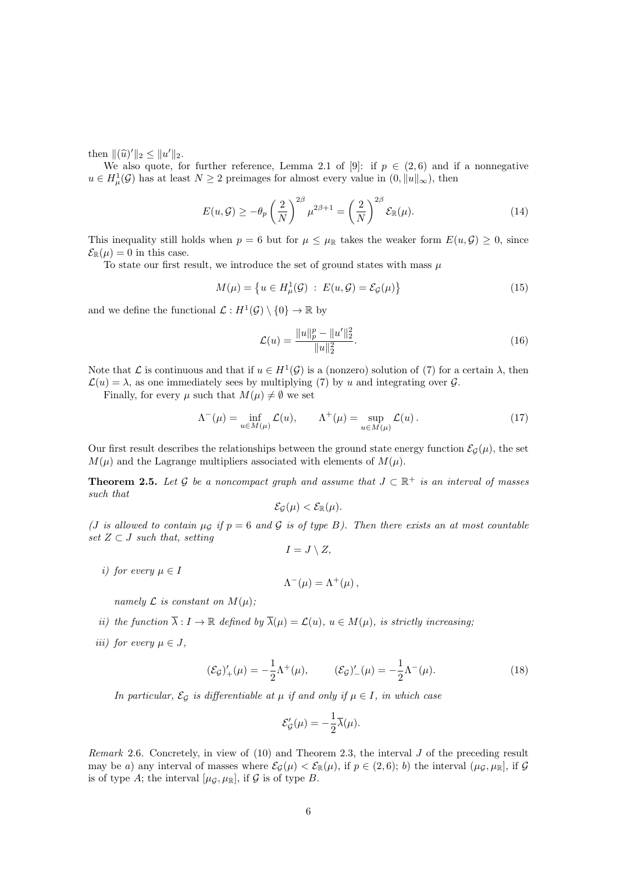then  $\|(\widehat{u})'\|_2 \leq \|u'\|_2$ .<br>We also quote form

We also quote, for further reference, Lemma 2.1 of [9]: if  $p \in (2,6)$  and if a nonnegative  $u \in H^1_\mu(\mathcal{G})$  has at least  $N \geq 2$  preimages for almost every value in  $(0, \|u\|_\infty)$ , then

$$
E(u,\mathcal{G}) \ge -\theta_p \left(\frac{2}{N}\right)^{2\beta} \mu^{2\beta+1} = \left(\frac{2}{N}\right)^{2\beta} \mathcal{E}_{\mathbb{R}}(\mu). \tag{14}
$$

This inequality still holds when  $p = 6$  but for  $\mu \leq \mu_{\mathbb{R}}$  takes the weaker form  $E(u, \mathcal{G}) \geq 0$ , since  $\mathcal{E}_{\mathbb{R}}(\mu) = 0$  in this case.

To state our first result, we introduce the set of ground states with mass  $\mu$ 

$$
M(\mu) = \left\{ u \in H^1_\mu(\mathcal{G}) \; : \; E(u, \mathcal{G}) = \mathcal{E}_{\mathcal{G}}(\mu) \right\} \tag{15}
$$

and we define the functional  $\mathcal{L}: H^1(\mathcal{G}) \setminus \{0\} \to \mathbb{R}$  by

$$
\mathcal{L}(u) = \frac{\|u\|_p^p - \|u'\|_2^2}{\|u\|_2^2}.
$$
\n(16)

Note that  $\mathcal L$  is continuous and that if  $u \in H^1(\mathcal G)$  is a (nonzero) solution of (7) for a certain  $\lambda$ , then  $\mathcal{L}(u) = \lambda$ , as one immediately sees by multiplying (7) by u and integrating over G.

Finally, for every  $\mu$  such that  $M(\mu) \neq \emptyset$  we set

$$
\Lambda^{-}(\mu) = \inf_{u \in M(\mu)} \mathcal{L}(u), \qquad \Lambda^{+}(\mu) = \sup_{u \in M(\mu)} \mathcal{L}(u). \tag{17}
$$

Our first result describes the relationships between the ground state energy function  $\mathcal{E}_G(\mu)$ , the set  $M(\mu)$  and the Lagrange multipliers associated with elements of  $M(\mu)$ .

**Theorem 2.5.** Let G be a noncompact graph and assume that  $J \subset \mathbb{R}^+$  is an interval of masses such that

$$
\mathcal{E}_{\mathcal{G}}(\mu) < \mathcal{E}_{\mathbb{R}}(\mu).
$$

(*J* is allowed to contain  $\mu$ <sup>G</sup> if  $p = 6$  and G is of type B). Then there exists an at most countable set  $Z \subset J$  such that, setting  $I = J \setminus Z$ ,

*i)* for every 
$$
\mu \in I
$$

$$
\Lambda^-(\mu) = \Lambda^+(\mu) \,,
$$

namely  $\mathcal L$  is constant on  $M(\mu)$ ;

- ii) the function  $\overline{\lambda}: I \to \mathbb{R}$  defined by  $\overline{\lambda}(\mu) = \mathcal{L}(u)$ ,  $u \in M(\mu)$ , is strictly increasing;
- iii) for every  $\mu \in J$ ,

$$
(\mathcal{E}_{\mathcal{G}})'_{+}(\mu) = -\frac{1}{2}\Lambda^{+}(\mu), \qquad (\mathcal{E}_{\mathcal{G}})'_{-}(\mu) = -\frac{1}{2}\Lambda^{-}(\mu). \tag{18}
$$

In particular,  $\mathcal{E}_{\mathcal{G}}$  is differentiable at  $\mu$  if and only if  $\mu \in I$ , in which case

$$
\mathcal{E}_{\mathcal{G}}'(\mu) = -\frac{1}{2}\overline{\lambda}(\mu).
$$

Remark 2.6. Concretely, in view of (10) and Theorem 2.3, the interval J of the preceding result may be a) any interval of masses where  $\mathcal{E}_{\mathcal{G}}(\mu) < \mathcal{E}_{\mathbb{R}}(\mu)$ , if  $p \in (2,6)$ ; b) the interval  $(\mu_{\mathcal{G}}, \mu_{\mathbb{R}}]$ , if  $\mathcal{G}$ is of type A; the interval  $[\mu_{\mathcal{G}}, \mu_{\mathbb{R}}]$ , if  $\mathcal G$  is of type B.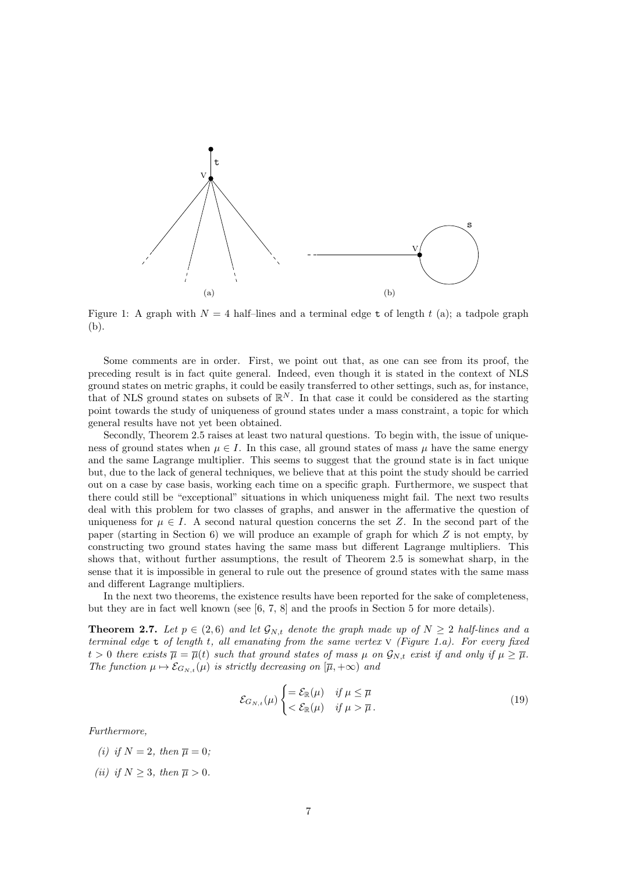

Figure 1: A graph with  $N = 4$  half-lines and a terminal edge t of length t (a); a tadpole graph (b).

Some comments are in order. First, we point out that, as one can see from its proof, the preceding result is in fact quite general. Indeed, even though it is stated in the context of NLS ground states on metric graphs, it could be easily transferred to other settings, such as, for instance, that of NLS ground states on subsets of  $\mathbb{R}^N$ . In that case it could be considered as the starting point towards the study of uniqueness of ground states under a mass constraint, a topic for which general results have not yet been obtained.

Secondly, Theorem 2.5 raises at least two natural questions. To begin with, the issue of uniqueness of ground states when  $\mu \in I$ . In this case, all ground states of mass  $\mu$  have the same energy and the same Lagrange multiplier. This seems to suggest that the ground state is in fact unique but, due to the lack of general techniques, we believe that at this point the study should be carried out on a case by case basis, working each time on a specific graph. Furthermore, we suspect that there could still be "exceptional" situations in which uniqueness might fail. The next two results deal with this problem for two classes of graphs, and answer in the affermative the question of uniqueness for  $\mu \in I$ . A second natural question concerns the set Z. In the second part of the paper (starting in Section 6) we will produce an example of graph for which  $Z$  is not empty, by constructing two ground states having the same mass but different Lagrange multipliers. This shows that, without further assumptions, the result of Theorem 2.5 is somewhat sharp, in the sense that it is impossible in general to rule out the presence of ground states with the same mass and different Lagrange multipliers.

In the next two theorems, the existence results have been reported for the sake of completeness, but they are in fact well known (see [6, 7, 8] and the proofs in Section 5 for more details).

**Theorem 2.7.** Let  $p \in (2, 6)$  and let  $\mathcal{G}_{N,t}$  denote the graph made up of  $N \geq 2$  half-lines and a terminal edge  $t$  of length t, all emanating from the same vertex  $V$  (Figure 1.a). For every fixed  $t > 0$  there exists  $\overline{\mu} = \overline{\mu}(t)$  such that ground states of mass  $\mu$  on  $\mathcal{G}_{N,t}$  exist if and only if  $\mu \geq \overline{\mu}$ . The function  $\mu \mapsto \mathcal{E}_{G_{N,t}}(\mu)$  is strictly decreasing on  $[\overline{\mu}, +\infty)$  and

$$
\mathcal{E}_{G_{N,t}}(\mu) \begin{cases} = \mathcal{E}_{\mathbb{R}}(\mu) & \text{if } \mu \leq \overline{\mu} \\ < \mathcal{E}_{\mathbb{R}}(\mu) & \text{if } \mu > \overline{\mu} \,. \end{cases} \tag{19}
$$

Furthermore,

- (i) if  $N = 2$ , then  $\overline{\mu} = 0$ ;
- (ii) if  $N \geq 3$ , then  $\overline{\mu} > 0$ .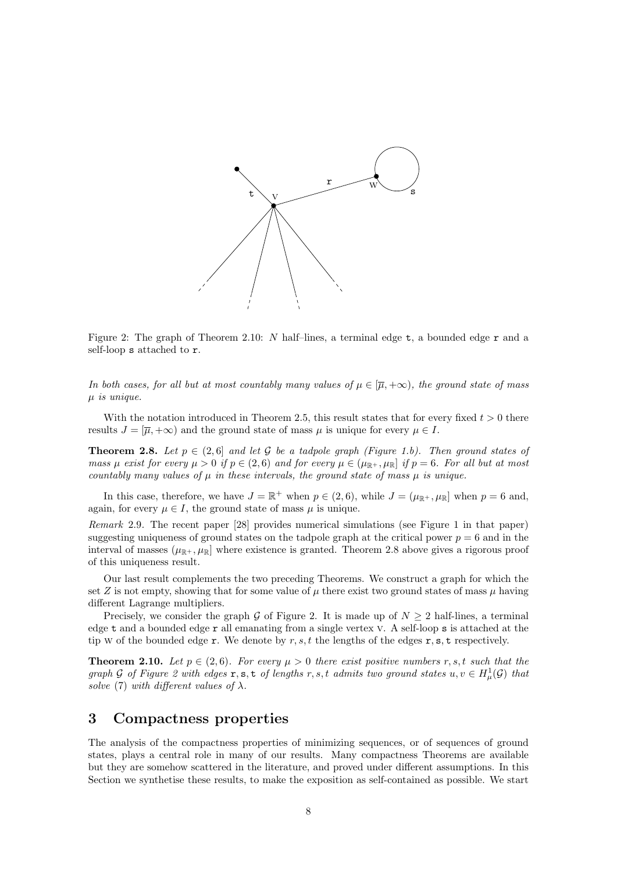

Figure 2: The graph of Theorem 2.10: N half-lines, a terminal edge  $t$ , a bounded edge  $r$  and a self-loop s attached to r.

In both cases, for all but at most countably many values of  $\mu \in [\overline{\mu}, +\infty)$ , the ground state of mass  $\mu$  is unique.

With the notation introduced in Theorem 2.5, this result states that for every fixed  $t > 0$  there results  $J = [\overline{\mu}, +\infty)$  and the ground state of mass  $\mu$  is unique for every  $\mu \in I$ .

**Theorem 2.8.** Let  $p \in (2, 6]$  and let G be a tadpole graph (Figure 1.b). Then ground states of mass  $\mu$  exist for every  $\mu > 0$  if  $p \in (2, 6)$  and for every  $\mu \in (\mu_{\mathbb{R}^+}, \mu_{\mathbb{R}}]$  if  $p = 6$ . For all but at most countably many values of  $\mu$  in these intervals, the ground state of mass  $\mu$  is unique.

In this case, therefore, we have  $J = \mathbb{R}^+$  when  $p \in (2, 6)$ , while  $J = (\mu_{\mathbb{R}^+}, \mu_{\mathbb{R}}]$  when  $p = 6$  and, again, for every  $\mu \in I$ , the ground state of mass  $\mu$  is unique.

Remark 2.9. The recent paper [28] provides numerical simulations (see Figure 1 in that paper) suggesting uniqueness of ground states on the tadpole graph at the critical power  $p = 6$  and in the interval of masses  $(\mu_{\mathbb{R}^+}, \mu_{\mathbb{R}}]$  where existence is granted. Theorem 2.8 above gives a rigorous proof of this uniqueness result.

Our last result complements the two preceding Theorems. We construct a graph for which the set Z is not empty, showing that for some value of  $\mu$  there exist two ground states of mass  $\mu$  having different Lagrange multipliers.

Precisely, we consider the graph G of Figure 2. It is made up of  $N \geq 2$  half-lines, a terminal edge t and a bounded edge r all emanating from a single vertex v. A self-loop s is attached at the tip w of the bounded edge r. We denote by  $r, s, t$  the lengths of the edges r, s, t respectively.

**Theorem 2.10.** Let  $p \in (2, 6)$ . For every  $\mu > 0$  there exist positive numbers r, s, t such that the graph G of Figure 2 with edges  $\mathbf{r}, \mathbf{s}, \mathbf{t}$  of lengths  $r, s, t$  admits two ground states  $u, v \in H^1_\mu(\mathcal{G})$  that solve (7) with different values of  $\lambda$ .

### 3 Compactness properties

The analysis of the compactness properties of minimizing sequences, or of sequences of ground states, plays a central role in many of our results. Many compactness Theorems are available but they are somehow scattered in the literature, and proved under different assumptions. In this Section we synthetise these results, to make the exposition as self-contained as possible. We start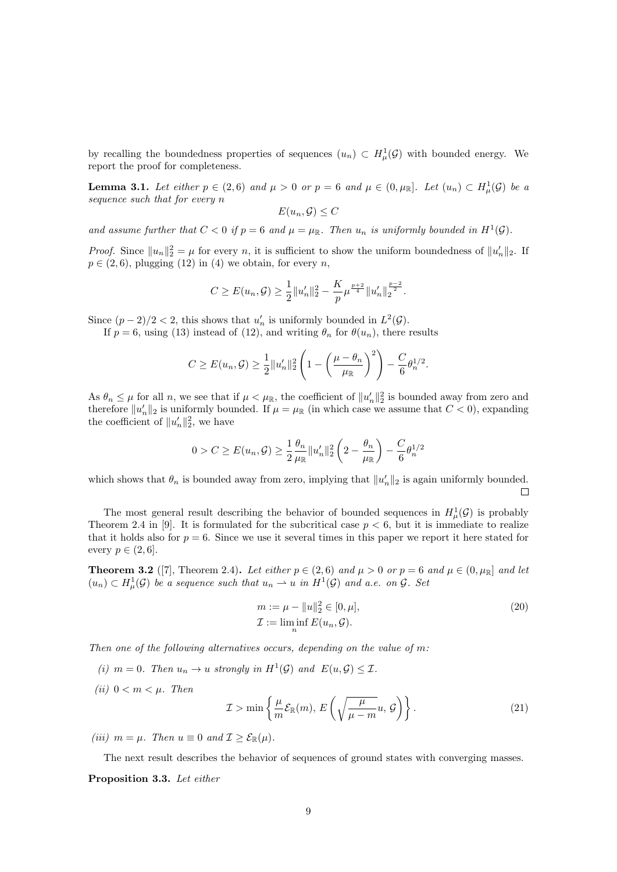by recalling the boundedness properties of sequences  $(u_n) \subset H^1_\mu(\mathcal{G})$  with bounded energy. We report the proof for completeness.

**Lemma 3.1.** Let either  $p \in (2,6)$  and  $\mu > 0$  or  $p = 6$  and  $\mu \in (0,\mu_{\mathbb{R}}]$ . Let  $(u_n) \subset H^1_{\mu}(\mathcal{G})$  be a sequence such that for every n

$$
E(u_n, \mathcal{G}) \le C
$$

and assume further that  $C < 0$  if  $p = 6$  and  $\mu = \mu_{\mathbb{R}}$ . Then  $u_n$  is uniformly bounded in  $H^1(\mathcal{G})$ .

*Proof.* Since  $||u_n||_2^2 = \mu$  for every n, it is sufficient to show the uniform boundedness of  $||u'_n||_2$ . If  $p \in (2, 6)$ , plugging (12) in (4) we obtain, for every n,

$$
C \ge E(u_n, \mathcal{G}) \ge \frac{1}{2} ||u'_n||_2^2 - \frac{K}{p} \mu^{\frac{p+2}{4}} ||u'_n||_2^{\frac{p-2}{2}}.
$$

Since  $(p-2)/2 < 2$ , this shows that  $u'_n$  is uniformly bounded in  $L^2(\mathcal{G})$ .

If  $p = 6$ , using (13) instead of (12), and writing  $\theta_n$  for  $\theta(u_n)$ , there results

$$
C \ge E(u_n, \mathcal{G}) \ge \frac{1}{2} ||u'_n||_2^2 \left( 1 - \left( \frac{\mu - \theta_n}{\mu_{\mathbb{R}}} \right)^2 \right) - \frac{C}{6} \theta_n^{1/2}.
$$

As  $\theta_n \leq \mu$  for all n, we see that if  $\mu < \mu_{\mathbb{R}}$ , the coefficient of  $||u'_n||_2^2$  is bounded away from zero and therefore  $||u'_n||_2$  is uniformly bounded. If  $\mu = \mu_{\mathbb{R}}$  (in which case we assume that  $C < 0$ ), expanding the coefficient of  $||u'_n||_2^2$ , we have

$$
0 > C \ge E(u_n, \mathcal{G}) \ge \frac{1}{2} \frac{\theta_n}{\mu_{\mathbb{R}}} ||u'_n||_2^2 \left(2 - \frac{\theta_n}{\mu_{\mathbb{R}}}\right) - \frac{C}{6} \theta_n^{1/2}
$$

which shows that  $\theta_n$  is bounded away from zero, implying that  $||u'_n||_2$  is again uniformly bounded.

The most general result describing the behavior of bounded sequences in  $H^1_\mu(\mathcal{G})$  is probably Theorem 2.4 in [9]. It is formulated for the subcritical case  $p < 6$ , but it is immediate to realize that it holds also for  $p = 6$ . Since we use it several times in this paper we report it here stated for every  $p \in (2, 6]$ .

**Theorem 3.2** ([7], Theorem 2.4). Let either  $p \in (2,6)$  and  $\mu > 0$  or  $p = 6$  and  $\mu \in (0, \mu_{\mathbb{R}}]$  and let  $(u_n) \subset H^1_\mu(\mathcal{G})$  be a sequence such that  $u_n \rightharpoonup u$  in  $H^1(\mathcal{G})$  and a.e. on  $\mathcal{G}$ . Set

$$
m := \mu - \|u\|_2^2 \in [0, \mu],
$$
  
\n
$$
\mathcal{I} := \liminf_{n} E(u_n, \mathcal{G}).
$$
\n(20)

Then one of the following alternatives occurs, depending on the value of m:

- (i)  $m = 0$ . Then  $u_n \to u$  strongly in  $H^1(\mathcal{G})$  and  $E(u, \mathcal{G}) \leq \mathcal{I}$ .
- (ii)  $0 < m < \mu$ . Then

$$
\mathcal{I} > \min\left\{\frac{\mu}{m}\mathcal{E}_{\mathbb{R}}(m), E\left(\sqrt{\frac{\mu}{\mu - m}}u, \mathcal{G}\right)\right\}.
$$
\n(21)

(iii)  $m = \mu$ . Then  $u \equiv 0$  and  $\mathcal{I} \geq \mathcal{E}_{\mathbb{R}}(\mu)$ .

The next result describes the behavior of sequences of ground states with converging masses. Proposition 3.3. Let either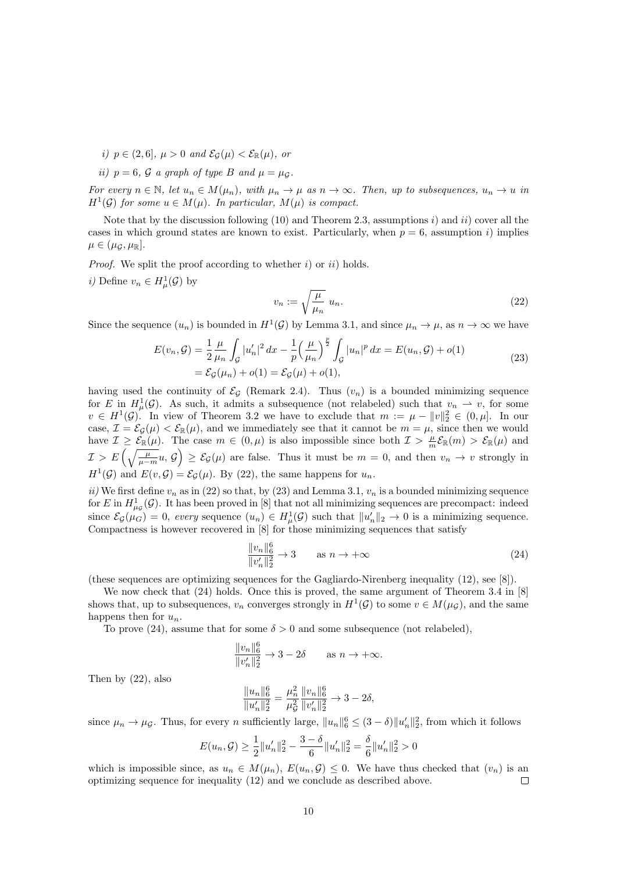- i)  $p \in (2,6], \mu > 0$  and  $\mathcal{E}_{\mathcal{G}}(\mu) < \mathcal{E}_{\mathbb{R}}(\mu)$ , or
- ii)  $p = 6$ , G a graph of type B and  $\mu = \mu_G$ .

For every  $n \in \mathbb{N}$ , let  $u_n \in M(\mu_n)$ , with  $\mu_n \to \mu$  as  $n \to \infty$ . Then, up to subsequences,  $u_n \to u$  in  $H^1(\mathcal{G})$  for some  $u \in M(\mu)$ . In particular,  $M(\mu)$  is compact.

Note that by the discussion following (10) and Theorem 2.3, assumptions i) and ii) cover all the cases in which ground states are known to exist. Particularly, when  $p = 6$ , assumption i) implies  $\mu \in (\mu_G, \mu_{\mathbb{R}}).$ 

*Proof.* We split the proof according to whether i) or ii) holds.

*i*) Define  $v_n \in H^1_\mu(\mathcal{G})$  by

$$
v_n := \sqrt{\frac{\mu}{\mu_n}} \ u_n. \tag{22}
$$

Since the sequence  $(u_n)$  is bounded in  $H^1(\mathcal{G})$  by Lemma 3.1, and since  $\mu_n \to \mu$ , as  $n \to \infty$  we have

$$
E(v_n, \mathcal{G}) = \frac{1}{2} \frac{\mu}{\mu_n} \int_{\mathcal{G}} |u'_n|^2 dx - \frac{1}{p} \left(\frac{\mu}{\mu_n}\right)^{\frac{p}{2}} \int_{\mathcal{G}} |u_n|^p dx = E(u_n, \mathcal{G}) + o(1)
$$
  
=  $\mathcal{E}_{\mathcal{G}}(\mu_n) + o(1) = \mathcal{E}_{\mathcal{G}}(\mu) + o(1),$  (23)

having used the continuity of  $\mathcal{E}_G$  (Remark 2.4). Thus  $(v_n)$  is a bounded minimizing sequence for E in  $H^1_\mu(\mathcal{G})$ . As such, it admits a subsequence (not relabeled) such that  $v_n \rightharpoonup v$ , for some  $v \in H^1(\mathcal{G})$ . In view of Theorem 3.2 we have to exclude that  $m := \mu - ||v||_2^2 \in (0, \mu]$ . In our case,  $\mathcal{I} = \mathcal{E}_{\mathcal{G}}(\mu) < \mathcal{E}_{\mathbb{R}}(\mu)$ , and we immediately see that it cannot be  $m = \mu$ , since then we would have  $\mathcal{I} \geq \mathcal{E}_{\mathbb{R}}(\mu)$ . The case  $m \in (0, \mu)$  is also impossible since both  $\mathcal{I} > \frac{\mu}{m} \mathcal{E}_{\mathbb{R}}(m) > \mathcal{E}_{\mathbb{R}}(\mu)$  and  $\mathcal{I} > E\left(\sqrt{\frac{\mu}{\mu-m}}u, \mathcal{G}\right) \geq \mathcal{E}_{\mathcal{G}}(\mu)$  are false. Thus it must be  $m = 0$ , and then  $v_n \to v$  strongly in  $H^1(\mathcal{G})$  and  $E(v,\mathcal{G}) = \mathcal{E}_{\mathcal{G}}(\mu)$ . By (22), the same happens for  $u_n$ .

ii) We first define  $v_n$  as in (22) so that, by (23) and Lemma 3.1,  $v_n$  is a bounded minimizing sequence for E in  $H^1_{\mu_g}(\mathcal{G})$ . It has been proved in [8] that not all minimizing sequences are precompact: indeed since  $\mathcal{E}_{\mathcal{G}}(\mu_G) = 0$ , every sequence  $(u_n) \in H^1_\mu(\mathcal{G})$  such that  $||u'_n||_2 \to 0$  is a minimizing sequence. Compactness is however recovered in [8] for those minimizing sequences that satisfy

$$
\frac{\|v_n\|_6^6}{\|v_n'\|_2^2} \to 3 \qquad \text{as } n \to +\infty \tag{24}
$$

(these sequences are optimizing sequences for the Gagliardo-Nirenberg inequality (12), see [8]).

We now check that  $(24)$  holds. Once this is proved, the same argument of Theorem 3.4 in [8] shows that, up to subsequences,  $v_n$  converges strongly in  $H^1(\mathcal{G})$  to some  $v \in M(\mu_{\mathcal{G}})$ , and the same happens then for  $u_n$ .

To prove (24), assume that for some  $\delta > 0$  and some subsequence (not relabeled),

$$
\frac{\|v_n\|_6^6}{\|v'_n\|_2^2} \to 3 - 2\delta \quad \text{as } n \to +\infty.
$$

Then by (22), also

$$
\frac{\|u_n\|_6^6}{\|u'_n\|_2^2} = \frac{\mu_n^2}{\mu_G^2} \frac{\|v_n\|_6^6}{\|v'_n\|_2^2} \to 3 - 2\delta,
$$

since  $\mu_n \to \mu_{\mathcal{G}}$ . Thus, for every n sufficiently large,  $||u_n||_6^6 \leq (3 - \delta) ||u'_n||_2^2$ , from which it follows

$$
E(u_n, \mathcal{G}) \ge \frac{1}{2} ||u'_n||_2^2 - \frac{3 - \delta}{6} ||u'_n||_2^2 = \frac{\delta}{6} ||u'_n||_2^2 > 0
$$

which is impossible since, as  $u_n \in M(\mu_n)$ ,  $E(u_n, \mathcal{G}) \leq 0$ . We have thus checked that  $(v_n)$  is an optimizing sequence for inequality (12) and we conclude as described above.  $\Box$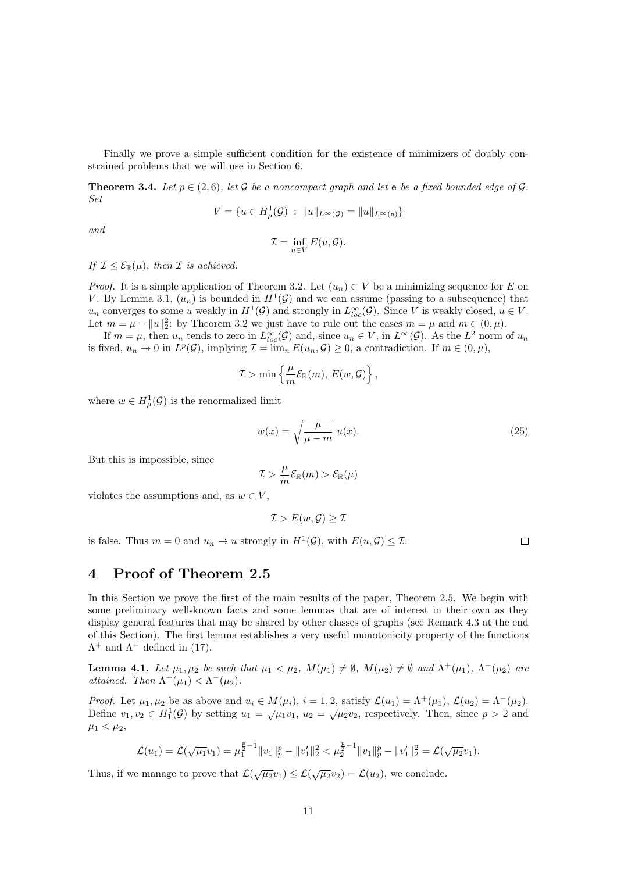Finally we prove a simple sufficient condition for the existence of minimizers of doubly constrained problems that we will use in Section 6.

**Theorem 3.4.** Let  $p \in (2, 6)$ , let G be a noncompact graph and let  $e$  be a fixed bounded edge of G. Set

$$
V = \{ u \in H^1_\mu(\mathcal{G}) \ : \ \|u\|_{L^\infty(\mathcal{G})} = \|u\|_{L^\infty(\mathbf{e})} \}
$$

and

$$
\mathcal{I} = \inf_{u \in V} E(u, \mathcal{G}).
$$

If  $\mathcal{I} \leq \mathcal{E}_{\mathbb{R}}(\mu)$ , then  $\mathcal I$  is achieved.

*Proof.* It is a simple application of Theorem 3.2. Let  $(u_n) \subset V$  be a minimizing sequence for E on V. By Lemma 3.1,  $(u_n)$  is bounded in  $H^1(\mathcal{G})$  and we can assume (passing to a subsequence) that  $u_n$  converges to some u weakly in  $H^1(\mathcal{G})$  and strongly in  $L^{\infty}_{loc}(\mathcal{G})$ . Since V is weakly closed,  $u \in V$ . Let  $m = \mu - ||u||_2^2$ : by Theorem 3.2 we just have to rule out the cases  $m = \mu$  and  $m \in (0, \mu)$ .

If  $m = \mu$ , then  $u_n$  tends to zero in  $L^{\infty}_{loc}(\mathcal{G})$  and, since  $u_n \in V$ , in  $L^{\infty}(\mathcal{G})$ . As the  $L^2$  norm of  $u_n$ is fixed,  $u_n \to 0$  in  $L^p(\mathcal{G})$ , implying  $\mathcal{I} = \lim_n E(u_n, \mathcal{G}) \geq 0$ , a contradiction. If  $m \in (0, \mu)$ ,

$$
\mathcal{I} > \min \left\{ \frac{\mu}{m} \mathcal{E}_{\mathbb{R}}(m), E(w, \mathcal{G}) \right\},\
$$

where  $w \in H^1_\mu(\mathcal{G})$  is the renormalized limit

$$
w(x) = \sqrt{\frac{\mu}{\mu - m}} \ u(x). \tag{25}
$$

But this is impossible, since

$$
\mathcal{I} > \frac{\mu}{m} \mathcal{E}_{\mathbb{R}}(m) > \mathcal{E}_{\mathbb{R}}(\mu)
$$

violates the assumptions and, as  $w \in V$ ,

$$
\mathcal{I} > E(w, \mathcal{G}) \ge \mathcal{I}
$$

is false. Thus  $m = 0$  and  $u_n \to u$  strongly in  $H^1(\mathcal{G})$ , with  $E(u, \mathcal{G}) \leq \mathcal{I}$ .

 $\Box$ 

## 4 Proof of Theorem 2.5

In this Section we prove the first of the main results of the paper, Theorem 2.5. We begin with some preliminary well-known facts and some lemmas that are of interest in their own as they display general features that may be shared by other classes of graphs (see Remark 4.3 at the end of this Section). The first lemma establishes a very useful monotonicity property of the functions  $\Lambda^+$  and  $\Lambda^-$  defined in (17).

**Lemma 4.1.** Let  $\mu_1, \mu_2$  be such that  $\mu_1 < \mu_2$ ,  $M(\mu_1) \neq \emptyset$ ,  $M(\mu_2) \neq \emptyset$  and  $\Lambda^+(\mu_1)$ ,  $\Lambda^-(\mu_2)$  are attained. Then  $\Lambda^+(\mu_1) < \Lambda^-(\mu_2)$ .

*Proof.* Let  $\mu_1, \mu_2$  be as above and  $u_i \in M(\mu_i)$ ,  $i = 1, 2$ , satisfy  $\mathcal{L}(u_1) = \Lambda^+(\mu_1)$ ,  $\mathcal{L}(u_2) = \Lambda^-(\mu_2)$ . Define  $v_1, v_2 \in H_1^1(\mathcal{G})$  by setting  $u_1 = \sqrt{\mu_1}v_1$ ,  $u_2 = \sqrt{\mu_2}v_2$ , respectively. Then, since  $p > 2$  and  $\mu_1 < \mu_2$ ,

$$
\mathcal{L}(u_1) = \mathcal{L}(\sqrt{\mu_1}v_1) = \mu_1^{\frac{p}{2}-1}||v_1||_p^p - ||v_1'||_2^2 < \mu_2^{\frac{p}{2}-1}||v_1||_p^p - ||v_1'||_2^2 = \mathcal{L}(\sqrt{\mu_2}v_1).
$$

Thus, if we manage to prove that  $\mathcal{L}(\sqrt{\mu_2}v_1) \leq \mathcal{L}(\sqrt{\mu_2}v_2) = \mathcal{L}(u_2)$ , we conclude.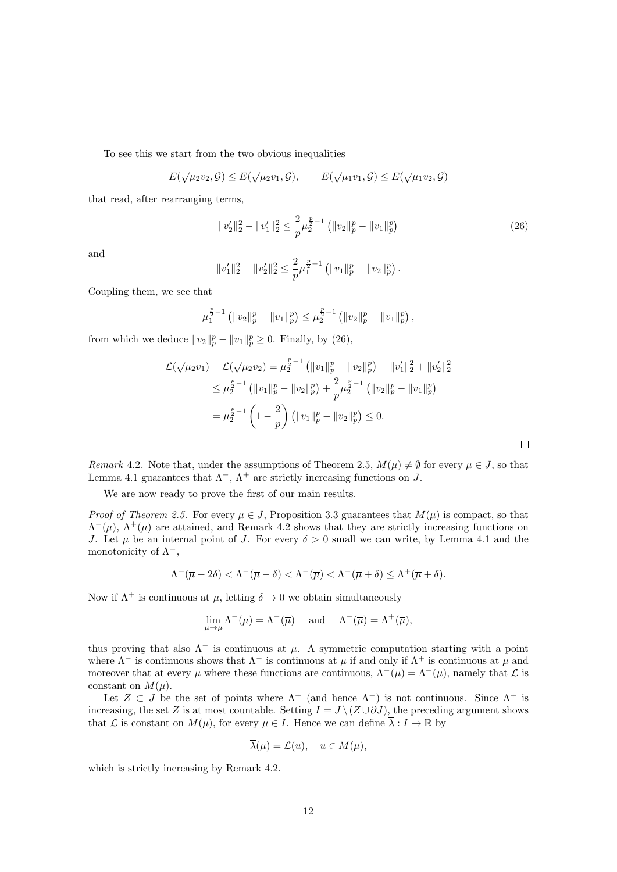To see this we start from the two obvious inequalities

$$
E(\sqrt{\mu_2}v_2, \mathcal{G}) \le E(\sqrt{\mu_2}v_1, \mathcal{G}), \qquad E(\sqrt{\mu_1}v_1, \mathcal{G}) \le E(\sqrt{\mu_1}v_2, \mathcal{G})
$$

that read, after rearranging terms,

$$
||v_2'||_2^2 - ||v_1'||_2^2 \le \frac{2}{p} \mu_2^{\frac{p}{2}-1} (||v_2||_p^p - ||v_1||_p^p)
$$
\n(26)

 $\Box$ 

and

$$
||v_1'||_2^2 - ||v_2'||_2^2 \le \frac{2}{p} \mu_1^{\frac{p}{2}-1} (||v_1||_p^p - ||v_2||_p^p).
$$

Coupling them, we see that

$$
\mu_1^{\frac{p}{2}-1} \left( \|v_2\|_p^p - \|v_1\|_p^p \right) \leq \mu_2^{\frac{p}{2}-1} \left( \|v_2\|_p^p - \|v_1\|_p^p \right),
$$

from which we deduce  $||v_2||_p^p - ||v_1||_p^p \ge 0$ . Finally, by (26),

$$
\mathcal{L}(\sqrt{\mu_2}v_1) - \mathcal{L}(\sqrt{\mu_2}v_2) = \mu_2^{\frac{p}{2}-1} \left( \|v_1\|_p^p - \|v_2\|_p^p \right) - \|v_1'\|_2^2 + \|v_2'\|_2^2
$$
  
\n
$$
\leq \mu_2^{\frac{p}{2}-1} \left( \|v_1\|_p^p - \|v_2\|_p^p \right) + \frac{2}{p} \mu_2^{\frac{p}{2}-1} \left( \|v_2\|_p^p - \|v_1\|_p^p \right)
$$
  
\n
$$
= \mu_2^{\frac{p}{2}-1} \left( 1 - \frac{2}{p} \right) \left( \|v_1\|_p^p - \|v_2\|_p^p \right) \leq 0.
$$

Remark 4.2. Note that, under the assumptions of Theorem 2.5,  $M(\mu) \neq \emptyset$  for every  $\mu \in J$ , so that Lemma 4.1 guarantees that  $\Lambda^-$ ,  $\Lambda^+$  are strictly increasing functions on J.

We are now ready to prove the first of our main results.

*Proof of Theorem 2.5.* For every  $\mu \in J$ , Proposition 3.3 guarantees that  $M(\mu)$  is compact, so that  $\Lambda^-(\mu)$ ,  $\Lambda^+(\mu)$  are attained, and Remark 4.2 shows that they are strictly increasing functions on J. Let  $\overline{\mu}$  be an internal point of J. For every  $\delta > 0$  small we can write, by Lemma 4.1 and the monotonicity of  $\Lambda^-$ ,

$$
\Lambda^+(\overline{\mu}-2\delta) < \Lambda^-(\overline{\mu}-\delta) < \Lambda^-(\overline{\mu}) < \Lambda^-(\overline{\mu}+\delta) \leq \Lambda^+(\overline{\mu}+\delta).
$$

Now if  $\Lambda^+$  is continuous at  $\overline{\mu}$ , letting  $\delta \to 0$  we obtain simultaneously

$$
\lim_{\mu \to \overline{\mu}} \Lambda^{-}(\mu) = \Lambda^{-}(\overline{\mu}) \quad \text{and} \quad \Lambda^{-}(\overline{\mu}) = \Lambda^{+}(\overline{\mu}),
$$

thus proving that also  $\Lambda^-$  is continuous at  $\overline{\mu}$ . A symmetric computation starting with a point where  $\Lambda^-$  is continuous shows that  $\Lambda^-$  is continuous at  $\mu$  if and only if  $\Lambda^+$  is continuous at  $\mu$  and moreover that at every  $\mu$  where these functions are continuous,  $\Lambda^-(\mu) = \Lambda^+(\mu)$ , namely that  $\mathcal L$  is constant on  $M(\mu)$ .

Let  $Z \subset J$  be the set of points where  $\Lambda^+$  (and hence  $\Lambda^-$ ) is not continuous. Since  $\Lambda^+$  is increasing, the set Z is at most countable. Setting  $I = J \setminus (Z \cup \partial J)$ , the preceding argument shows that L is constant on  $M(\mu)$ , for every  $\mu \in I$ . Hence we can define  $\overline{\lambda}: I \to \mathbb{R}$  by

$$
\overline{\lambda}(\mu) = \mathcal{L}(u), \quad u \in M(\mu),
$$

which is strictly increasing by Remark 4.2.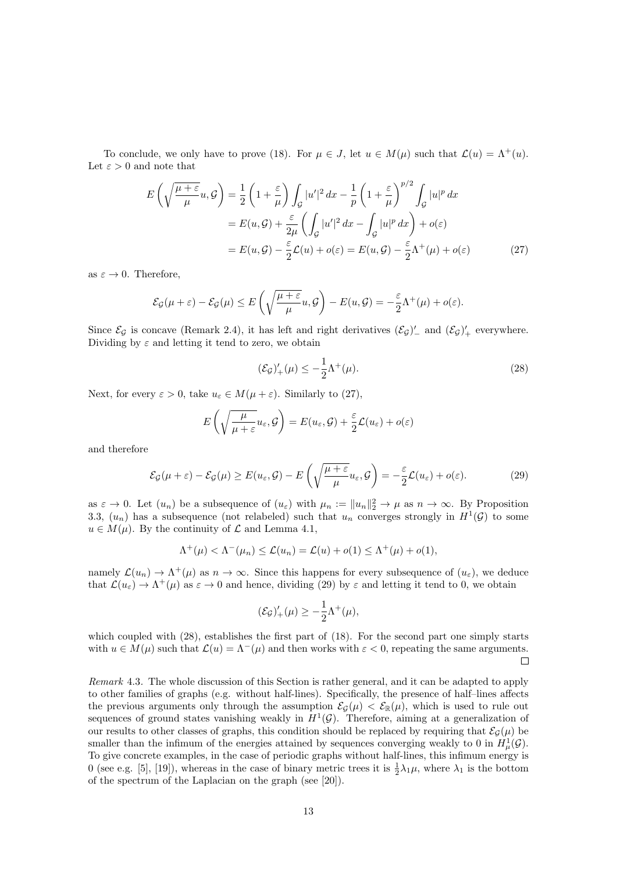To conclude, we only have to prove (18). For  $\mu \in J$ , let  $u \in M(\mu)$  such that  $\mathcal{L}(u) = \Lambda^+(u)$ . Let  $\varepsilon > 0$  and note that

$$
E\left(\sqrt{\frac{\mu+\varepsilon}{\mu}}u,\mathcal{G}\right) = \frac{1}{2}\left(1+\frac{\varepsilon}{\mu}\right)\int_{\mathcal{G}}|u'|^2\,dx - \frac{1}{p}\left(1+\frac{\varepsilon}{\mu}\right)^{p/2}\int_{\mathcal{G}}|u|^p\,dx
$$

$$
= E(u,\mathcal{G}) + \frac{\varepsilon}{2\mu}\left(\int_{\mathcal{G}}|u'|^2\,dx - \int_{\mathcal{G}}|u|^p\,dx\right) + o(\varepsilon)
$$

$$
= E(u,\mathcal{G}) - \frac{\varepsilon}{2}\mathcal{L}(u) + o(\varepsilon) = E(u,\mathcal{G}) - \frac{\varepsilon}{2}\Lambda^+(\mu) + o(\varepsilon) \tag{27}
$$

as  $\varepsilon \to 0$ . Therefore,

$$
\mathcal{E}_{\mathcal{G}}(\mu+\varepsilon)-\mathcal{E}_{\mathcal{G}}(\mu)\leq E\left(\sqrt{\frac{\mu+\varepsilon}{\mu}}u,\mathcal{G}\right)-E(u,\mathcal{G})=-\frac{\varepsilon}{2}\Lambda^{+}(\mu)+o(\varepsilon).
$$

Since  $\mathcal{E}_{\mathcal{G}}$  is concave (Remark 2.4), it has left and right derivatives  $(\mathcal{E}_{\mathcal{G}})'_{-}$  and  $(\mathcal{E}_{\mathcal{G}})'_{+}$  everywhere. Dividing by  $\varepsilon$  and letting it tend to zero, we obtain

$$
(\mathcal{E}_{\mathcal{G}})'_{+}(\mu) \le -\frac{1}{2}\Lambda^{+}(\mu). \tag{28}
$$

Next, for every  $\varepsilon > 0$ , take  $u_{\varepsilon} \in M(\mu + \varepsilon)$ . Similarly to (27),

$$
E\left(\sqrt{\frac{\mu}{\mu+\varepsilon}}u_{\varepsilon},\mathcal{G}\right)=E(u_{\varepsilon},\mathcal{G})+\frac{\varepsilon}{2}\mathcal{L}(u_{\varepsilon})+o(\varepsilon)
$$

and therefore

$$
\mathcal{E}_{\mathcal{G}}(\mu+\varepsilon)-\mathcal{E}_{\mathcal{G}}(\mu)\geq E(u_{\varepsilon},\mathcal{G})-E\left(\sqrt{\frac{\mu+\varepsilon}{\mu}}u_{\varepsilon},\mathcal{G}\right)=-\frac{\varepsilon}{2}\mathcal{L}(u_{\varepsilon})+o(\varepsilon).
$$
 (29)

as  $\varepsilon \to 0$ . Let  $(u_n)$  be a subsequence of  $(u_\varepsilon)$  with  $\mu_n := ||u_n||_2^2 \to \mu$  as  $n \to \infty$ . By Proposition 3.3,  $(u_n)$  has a subsequence (not relabeled) such that  $u_n$  converges strongly in  $H^1(\mathcal{G})$  to some  $u \in M(u)$ . By the continuity of  $\mathcal L$  and Lemma 4.1,

$$
\Lambda^+(\mu) < \Lambda^-(\mu_n) \leq \mathcal{L}(u_n) = \mathcal{L}(u) + o(1) \leq \Lambda^+(\mu) + o(1),
$$

namely  $\mathcal{L}(u_n) \to \Lambda^+(\mu)$  as  $n \to \infty$ . Since this happens for every subsequence of  $(u_\varepsilon)$ , we deduce that  $\mathcal{L}(u_{\varepsilon}) \to \Lambda^+(\mu)$  as  $\varepsilon \to 0$  and hence, dividing (29) by  $\varepsilon$  and letting it tend to 0, we obtain

$$
(\mathcal{E}_{\mathcal{G}})'_{+}(\mu) \geq -\frac{1}{2}\Lambda^{+}(\mu),
$$

which coupled with (28), establishes the first part of (18). For the second part one simply starts with  $u \in M(\mu)$  such that  $\mathcal{L}(u) = \Lambda^-(\mu)$  and then works with  $\varepsilon < 0$ , repeating the same arguments.  $\Box$ 

Remark 4.3. The whole discussion of this Section is rather general, and it can be adapted to apply to other families of graphs (e.g. without half-lines). Specifically, the presence of half–lines affects the previous arguments only through the assumption  $\mathcal{E}_{\mathcal{G}}(\mu) < \mathcal{E}_{\mathbb{R}}(\mu)$ , which is used to rule out sequences of ground states vanishing weakly in  $H^1(\mathcal{G})$ . Therefore, aiming at a generalization of our results to other classes of graphs, this condition should be replaced by requiring that  $\mathcal{E}_G(\mu)$  be smaller than the infimum of the energies attained by sequences converging weakly to 0 in  $H^1_\mu(\mathcal{G})$ . To give concrete examples, in the case of periodic graphs without half-lines, this infimum energy is 0 (see e.g. [5], [19]), whereas in the case of binary metric trees it is  $\frac{1}{2}\lambda_1\mu$ , where  $\lambda_1$  is the bottom of the spectrum of the Laplacian on the graph (see [20]).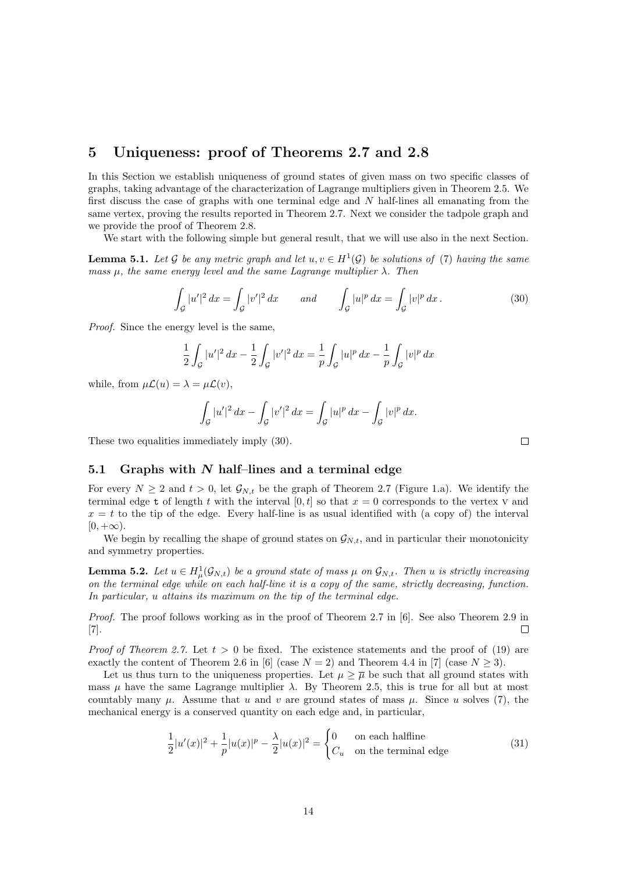## 5 Uniqueness: proof of Theorems 2.7 and 2.8

In this Section we establish uniqueness of ground states of given mass on two specific classes of graphs, taking advantage of the characterization of Lagrange multipliers given in Theorem 2.5. We first discuss the case of graphs with one terminal edge and  $N$  half-lines all emanating from the same vertex, proving the results reported in Theorem 2.7. Next we consider the tadpole graph and we provide the proof of Theorem 2.8.

We start with the following simple but general result, that we will use also in the next Section.

**Lemma 5.1.** Let G be any metric graph and let  $u, v \in H^1(\mathcal{G})$  be solutions of (7) having the same mass  $\mu$ , the same energy level and the same Lagrange multiplier  $\lambda$ . Then

$$
\int_{\mathcal{G}} |u'|^2 \, dx = \int_{\mathcal{G}} |v'|^2 \, dx \qquad \text{and} \qquad \int_{\mathcal{G}} |u|^p \, dx = \int_{\mathcal{G}} |v|^p \, dx \, . \tag{30}
$$

Proof. Since the energy level is the same,

$$
\frac{1}{2} \int_{\mathcal{G}} |u'|^2 \, dx - \frac{1}{2} \int_{\mathcal{G}} |v'|^2 \, dx = \frac{1}{p} \int_{\mathcal{G}} |u|^p \, dx - \frac{1}{p} \int_{\mathcal{G}} |v|^p \, dx
$$

while, from  $\mu \mathcal{L}(u) = \lambda = \mu \mathcal{L}(v)$ ,

$$
\int_{\mathcal{G}} |u'|^2 \, dx - \int_{\mathcal{G}} |v'|^2 \, dx = \int_{\mathcal{G}} |u|^p \, dx - \int_{\mathcal{G}} |v|^p \, dx.
$$

These two equalities immediately imply (30).

#### 5.1 Graphs with  $N$  half-lines and a terminal edge

For every  $N \geq 2$  and  $t > 0$ , let  $\mathcal{G}_{N,t}$  be the graph of Theorem 2.7 (Figure 1.a). We identify the terminal edge t of length t with the interval  $[0, t]$  so that  $x = 0$  corresponds to the vertex v and  $x = t$  to the tip of the edge. Every half-line is as usual identified with (a copy of) the interval  $[0, +\infty).$ 

We begin by recalling the shape of ground states on  $\mathcal{G}_{N,t}$ , and in particular their monotonicity and symmetry properties.

**Lemma 5.2.** Let  $u \in H^1_\mu(\mathcal{G}_{N,t})$  be a ground state of mass  $\mu$  on  $\mathcal{G}_{N,t}$ . Then u is strictly increasing on the terminal edge while on each half-line it is a copy of the same, strictly decreasing, function. In particular, u attains its maximum on the tip of the terminal edge.

Proof. The proof follows working as in the proof of Theorem 2.7 in [6]. See also Theorem 2.9 in [7].  $\Box$ 

*Proof of Theorem 2.7.* Let  $t > 0$  be fixed. The existence statements and the proof of (19) are exactly the content of Theorem 2.6 in [6] (case  $N = 2$ ) and Theorem 4.4 in [7] (case  $N \ge 3$ ).

Let us thus turn to the uniqueness properties. Let  $\mu > \overline{\mu}$  be such that all ground states with mass  $\mu$  have the same Lagrange multiplier  $\lambda$ . By Theorem 2.5, this is true for all but at most countably many  $\mu$ . Assume that u and v are ground states of mass  $\mu$ . Since u solves (7), the mechanical energy is a conserved quantity on each edge and, in particular,

$$
\frac{1}{2}|u'(x)|^2 + \frac{1}{p}|u(x)|^p - \frac{\lambda}{2}|u(x)|^2 = \begin{cases} 0 & \text{on each halfline} \\ C_u & \text{on the terminal edge} \end{cases}
$$
(31)

 $\Box$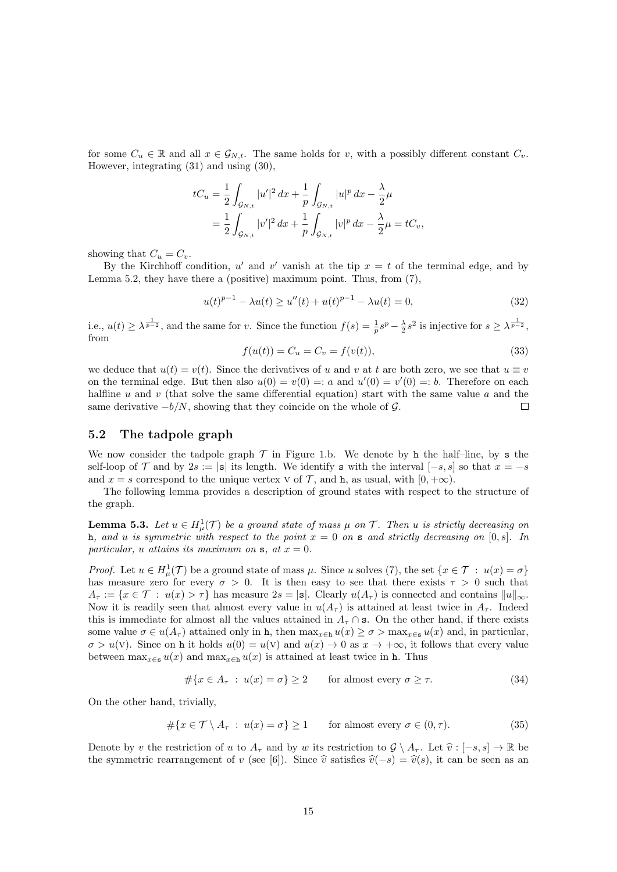for some  $C_u \in \mathbb{R}$  and all  $x \in \mathcal{G}_{N,t}$ . The same holds for v, with a possibly different constant  $C_v$ . However, integrating (31) and using (30),

$$
tC_u = \frac{1}{2} \int_{\mathcal{G}_{N,t}} |u'|^2 dx + \frac{1}{p} \int_{\mathcal{G}_{N,t}} |u|^p dx - \frac{\lambda}{2} \mu
$$
  
= 
$$
\frac{1}{2} \int_{\mathcal{G}_{N,t}} |v'|^2 dx + \frac{1}{p} \int_{\mathcal{G}_{N,t}} |v|^p dx - \frac{\lambda}{2} \mu = tC_v,
$$

showing that  $C_u = C_v$ .

By the Kirchhoff condition, u' and v' vanish at the tip  $x = t$  of the terminal edge, and by Lemma 5.2, they have there a (positive) maximum point. Thus, from (7),

$$
u(t)^{p-1} - \lambda u(t) \ge u''(t) + u(t)^{p-1} - \lambda u(t) = 0,
$$
\n(32)

i.e.,  $u(t) \geq \lambda^{\frac{1}{p-2}}$ , and the same for v. Since the function  $f(s) = \frac{1}{p} s^p - \frac{\lambda}{2} s^2$  is injective for  $s \geq \lambda^{\frac{1}{p-2}}$ , from

$$
f(u(t)) = C_u = C_v = f(v(t)),
$$
\n(33)

we deduce that  $u(t) = v(t)$ . Since the derivatives of u and v at t are both zero, we see that  $u \equiv v$ on the terminal edge. But then also  $u(0) = v(0) =: a$  and  $u'(0) = v'(0) =: b$ . Therefore on each halfline  $u$  and  $v$  (that solve the same differential equation) start with the same value  $a$  and the same derivative  $-b/N$ , showing that they coincide on the whole of G.  $\Box$ 

### 5.2 The tadpole graph

We now consider the tadpole graph  $\mathcal T$  in Figure 1.b. We denote by h the half-line, by s the self-loop of  $\mathcal T$  and by 2s := |s| its length. We identify s with the interval  $[-s, s]$  so that  $x = -s$ and  $x = s$  correspond to the unique vertex v of  $\mathcal{T}$ , and h, as usual, with  $[0, +\infty)$ .

The following lemma provides a description of ground states with respect to the structure of the graph.

**Lemma 5.3.** Let  $u \in H^1_\mu(\mathcal{T})$  be a ground state of mass  $\mu$  on  $\mathcal{T}$ . Then u is strictly decreasing on h, and u is symmetric with respect to the point  $x = 0$  on s and strictly decreasing on [0, s]. In particular, u attains its maximum on  $s$ , at  $x = 0$ .

*Proof.* Let  $u \in H^1_\mu(\mathcal{T})$  be a ground state of mass  $\mu$ . Since u solves (7), the set  $\{x \in \mathcal{T} : u(x) = \sigma\}$ has measure zero for every  $\sigma > 0$ . It is then easy to see that there exists  $\tau > 0$  such that  $A_{\tau} := \{x \in \mathcal{T} : u(x) > \tau\}$  has measure  $2s = |\mathbf{s}|$ . Clearly  $u(A_{\tau})$  is connected and contains  $||u||_{\infty}$ . Now it is readily seen that almost every value in  $u(A<sub>\tau</sub>)$  is attained at least twice in  $A<sub>\tau</sub>$ . Indeed this is immediate for almost all the values attained in  $A<sub>\tau</sub> \cap s$ . On the other hand, if there exists some value  $\sigma \in u(A_\tau)$  attained only in h, then  $\max_{x \in h} u(x) \geq \sigma > \max_{x \in s} u(x)$  and, in particular,  $\sigma > u(V)$ . Since on h it holds  $u(0) = u(V)$  and  $u(x) \to 0$  as  $x \to +\infty$ , it follows that every value between  $\max_{x \in \mathbf{s}} u(x)$  and  $\max_{x \in \mathbf{h}} u(x)$  is attained at least twice in h. Thus

$$
#\{x \in A_{\tau} : u(x) = \sigma\} \ge 2 \quad \text{for almost every } \sigma \ge \tau. \tag{34}
$$

On the other hand, trivially,

$$
\#\{x \in \mathcal{T} \setminus A_{\tau} : u(x) = \sigma\} \ge 1 \quad \text{for almost every } \sigma \in (0, \tau). \tag{35}
$$

Denote by v the restriction of u to  $A_{\tau}$  and by w its restriction to  $\mathcal{G} \setminus A_{\tau}$ . Let  $\hat{v} : [-s, s] \to \mathbb{R}$  be the symmetric rearrangement of v (see [6]). Since  $\hat{v}$  satisfies  $\hat{v}(-s) = \hat{v}(s)$ , it can be seen as an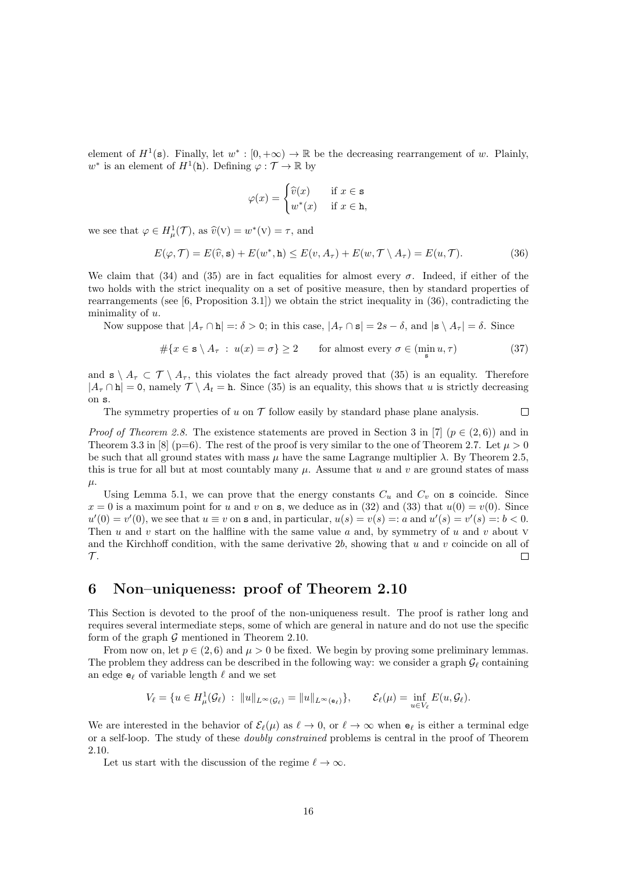element of  $H^1(\mathbf{s})$ . Finally, let  $w^*: [0, +\infty) \to \mathbb{R}$  be the decreasing rearrangement of w. Plainly,  $w^*$  is an element of  $H^1(\mathbf{h})$ . Defining  $\varphi: \mathcal{T} \to \mathbb{R}$  by

$$
\varphi(x) = \begin{cases} \widehat{v}(x) & \text{if } x \in \mathbf{s} \\ w^*(x) & \text{if } x \in \mathbf{h}, \end{cases}
$$

we see that  $\varphi \in H^1_\mu(\mathcal{T})$ , as  $\widehat{v}(v) = w^*(v) = \tau$ , and

$$
E(\varphi, \mathcal{T}) = E(\widehat{v}, \mathbf{s}) + E(w^*, \mathbf{h}) \le E(v, A_{\tau}) + E(w, \mathcal{T} \setminus A_{\tau}) = E(u, \mathcal{T}). \tag{36}
$$

We claim that (34) and (35) are in fact equalities for almost every  $\sigma$ . Indeed, if either of the two holds with the strict inequality on a set of positive measure, then by standard properties of rearrangements (see [6, Proposition 3.1]) we obtain the strict inequality in (36), contradicting the minimality of  $u$ .

Now suppose that  $|A_{\tau} \cap \mathbf{h}| =: \delta > 0$ ; in this case,  $|A_{\tau} \cap \mathbf{s}| = 2s - \delta$ , and  $|\mathbf{s} \setminus A_{\tau}| = \delta$ . Since

$$
\#\{x \in \mathbf{s} \setminus A_{\tau} : u(x) = \sigma\} \ge 2 \quad \text{for almost every } \sigma \in (\min_{\mathbf{s}} u, \tau)
$$
 (37)

 $\Box$ 

and  $\mathbf{s} \setminus A_{\tau} \subset \mathcal{T} \setminus A_{\tau}$ , this violates the fact already proved that (35) is an equality. Therefore  $|A_{\tau} \cap \mathbf{h}| = 0$ , namely  $\mathcal{T} \setminus A_t = \mathbf{h}$ . Since (35) is an equality, this shows that u is strictly decreasing on s.

The symmetry properties of u on  $\mathcal T$  follow easily by standard phase plane analysis.

*Proof of Theorem 2.8.* The existence statements are proved in Section 3 in [7] ( $p \in (2,6)$ ) and in Theorem 3.3 in [8] (p=6). The rest of the proof is very similar to the one of Theorem 2.7. Let  $\mu > 0$ be such that all ground states with mass  $\mu$  have the same Lagrange multiplier  $\lambda$ . By Theorem 2.5, this is true for all but at most countably many  $\mu$ . Assume that u and v are ground states of mass  $\mu$ .

Using Lemma 5.1, we can prove that the energy constants  $C_u$  and  $C_v$  on s coincide. Since  $x = 0$  is a maximum point for u and v on s, we deduce as in (32) and (33) that  $u(0) = v(0)$ . Since  $u'(0) = v'(0)$ , we see that  $u \equiv v$  on s and, in particular,  $u(s) = v(s) =: a$  and  $u'(s) = v'(s) =: b < 0$ . Then u and v start on the halfline with the same value u and, by symmetry of u and v about V and the Kirchhoff condition, with the same derivative  $2b$ , showing that u and v coincide on all of  $\mathcal{T}.$  $\Box$ 

## 6 Non–uniqueness: proof of Theorem 2.10

This Section is devoted to the proof of the non-uniqueness result. The proof is rather long and requires several intermediate steps, some of which are general in nature and do not use the specific form of the graph  $G$  mentioned in Theorem 2.10.

From now on, let  $p \in (2, 6)$  and  $\mu > 0$  be fixed. We begin by proving some preliminary lemmas. The problem they address can be described in the following way: we consider a graph  $\mathcal{G}_\ell$  containing an edge  $\mathsf{e}_\ell$  of variable length  $\ell$  and we set

$$
V_{\ell} = \{ u \in H^1_{\mu}(\mathcal{G}_{\ell}) \ : \ \|u\|_{L^{\infty}(\mathcal{G}_{\ell})} = \|u\|_{L^{\infty}(\mathbf{e}_{\ell})}\}, \qquad \mathcal{E}_{\ell}(\mu) = \inf_{u \in V_{\ell}} E(u, \mathcal{G}_{\ell}).
$$

We are interested in the behavior of  $\mathcal{E}_{\ell}(\mu)$  as  $\ell \to 0$ , or  $\ell \to \infty$  when  $\mathbf{e}_{\ell}$  is either a terminal edge or a self-loop. The study of these doubly constrained problems is central in the proof of Theorem 2.10.

Let us start with the discussion of the regime  $\ell \to \infty$ .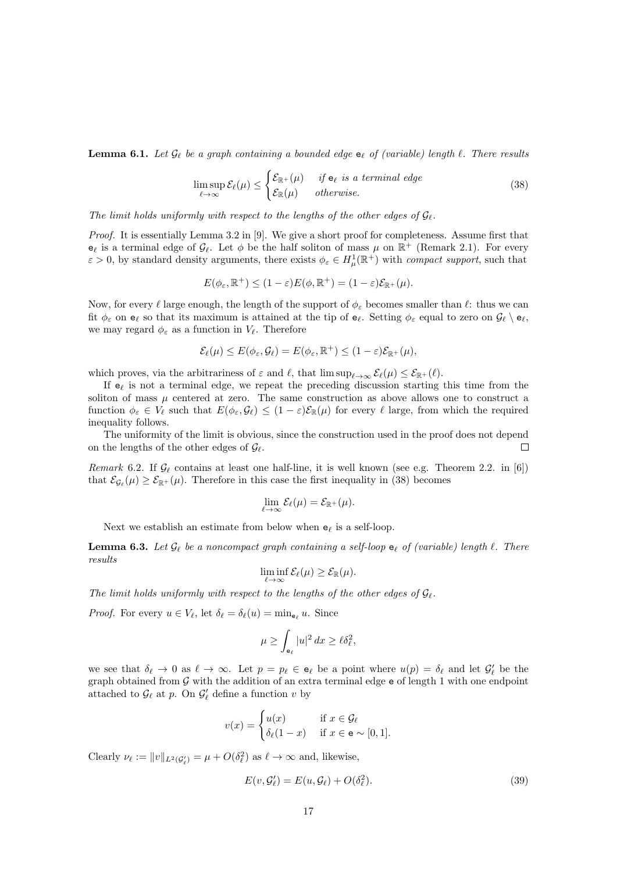**Lemma 6.1.** Let  $\mathcal{G}_{\ell}$  be a graph containing a bounded edge  $\mathbf{e}_{\ell}$  of (variable) length  $\ell$ . There results

$$
\limsup_{\ell \to \infty} \mathcal{E}_{\ell}(\mu) \le \begin{cases} \mathcal{E}_{\mathbb{R}^+}(\mu) & \text{if } \mathbf{e}_{\ell} \text{ is a terminal edge} \\ \mathcal{E}_{\mathbb{R}}(\mu) & \text{otherwise.} \end{cases}
$$
\n(38)

The limit holds uniformly with respect to the lengths of the other edges of  $\mathcal{G}_{\ell}$ .

Proof. It is essentially Lemma 3.2 in [9]. We give a short proof for completeness. Assume first that  $e_\ell$  is a terminal edge of  $\mathcal{G}_\ell$ . Let  $\phi$  be the half soliton of mass  $\mu$  on  $\mathbb{R}^+$  (Remark 2.1). For every  $\varepsilon > 0$ , by standard density arguments, there exists  $\phi_{\varepsilon} \in H^1_{\mu}(\mathbb{R}^+)$  with *compact support*, such that

$$
E(\phi_{\varepsilon}, \mathbb{R}^+) \le (1 - \varepsilon) E(\phi, \mathbb{R}^+) = (1 - \varepsilon) \mathcal{E}_{\mathbb{R}^+}(\mu).
$$

Now, for every  $\ell$  large enough, the length of the support of  $\phi_{\varepsilon}$  becomes smaller than  $\ell$ : thus we can fit  $\phi_{\varepsilon}$  on  $e_{\ell}$  so that its maximum is attained at the tip of  $e_{\ell}$ . Setting  $\phi_{\varepsilon}$  equal to zero on  $\mathcal{G}_{\ell} \setminus e_{\ell}$ , we may regard  $\phi_{\varepsilon}$  as a function in  $V_{\ell}$ . Therefore

$$
\mathcal{E}_{\ell}(\mu) \leq E(\phi_{\varepsilon}, \mathcal{G}_{\ell}) = E(\phi_{\varepsilon}, \mathbb{R}^+) \leq (1 - \varepsilon) \mathcal{E}_{\mathbb{R}^+}(\mu),
$$

which proves, via the arbitrariness of  $\varepsilon$  and  $\ell$ , that  $\limsup_{\ell\to\infty} \mathcal{E}_{\ell}(\mu) \leq \mathcal{E}_{\mathbb{R}^+}(\ell)$ .

If  $e_\ell$  is not a terminal edge, we repeat the preceding discussion starting this time from the soliton of mass  $\mu$  centered at zero. The same construction as above allows one to construct a function  $\phi_{\varepsilon} \in V_{\ell}$  such that  $E(\phi_{\varepsilon}, \mathcal{G}_{\ell}) \leq (1 - \varepsilon)\mathcal{E}_{\mathbb{R}}(\mu)$  for every  $\ell$  large, from which the required inequality follows.

The uniformity of the limit is obvious, since the construction used in the proof does not depend on the lengths of the other edges of  $\mathcal{G}_{\ell}$ .  $\Box$ 

Remark 6.2. If  $\mathcal{G}_{\ell}$  contains at least one half-line, it is well known (see e.g. Theorem 2.2. in [6]) that  $\mathcal{E}_{\mathcal{G}_{\ell}}(\mu) \geq \mathcal{E}_{\mathbb{R}^+}(\mu)$ . Therefore in this case the first inequality in (38) becomes

$$
\lim_{\ell\to\infty}\mathcal{E}_\ell(\mu)=\mathcal{E}_{\mathbb{R}^+}(\mu).
$$

Next we establish an estimate from below when  $e_\ell$  is a self-loop.

**Lemma 6.3.** Let  $\mathcal{G}_{\ell}$  be a noncompact graph containing a self-loop  $e_{\ell}$  of (variable) length  $\ell$ . There results

$$
\liminf_{\ell\to\infty}\mathcal{E}_{\ell}(\mu)\geq \mathcal{E}_{\mathbb{R}}(\mu).
$$

The limit holds uniformly with respect to the lengths of the other edges of  $\mathcal{G}_{\ell}$ .

*Proof.* For every  $u \in V_{\ell}$ , let  $\delta_{\ell} = \delta_{\ell}(u) = \min_{\mathbf{e}_{\ell}} u$ . Since

$$
\mu \ge \int_{\mathbf{e}_{\ell}} |u|^2 \, dx \ge \ell \delta_{\ell}^2,
$$

we see that  $\delta_\ell \to 0$  as  $\ell \to \infty$ . Let  $p = p_\ell \in \mathbf{e}_\ell$  be a point where  $u(p) = \delta_\ell$  and let  $\mathcal{G}'_\ell$  be the graph obtained from  $G$  with the addition of an extra terminal edge  $e$  of length 1 with one endpoint attached to  $\mathcal{G}_{\ell}$  at p. On  $\mathcal{G}'_{\ell}$  define a function v by

$$
v(x) = \begin{cases} u(x) & \text{if } x \in \mathcal{G}_{\ell} \\ \delta_{\ell}(1-x) & \text{if } x \in \mathbf{e} \sim [0,1]. \end{cases}
$$

Clearly  $\nu_{\ell} := ||v||_{L^2(\mathcal{G}_{\ell}')} = \mu + O(\delta_{\ell}^2)$  as  $\ell \to \infty$  and, likewise,

$$
E(v, \mathcal{G}'_{\ell}) = E(u, \mathcal{G}_{\ell}) + O(\delta_{\ell}^{2}).
$$
\n(39)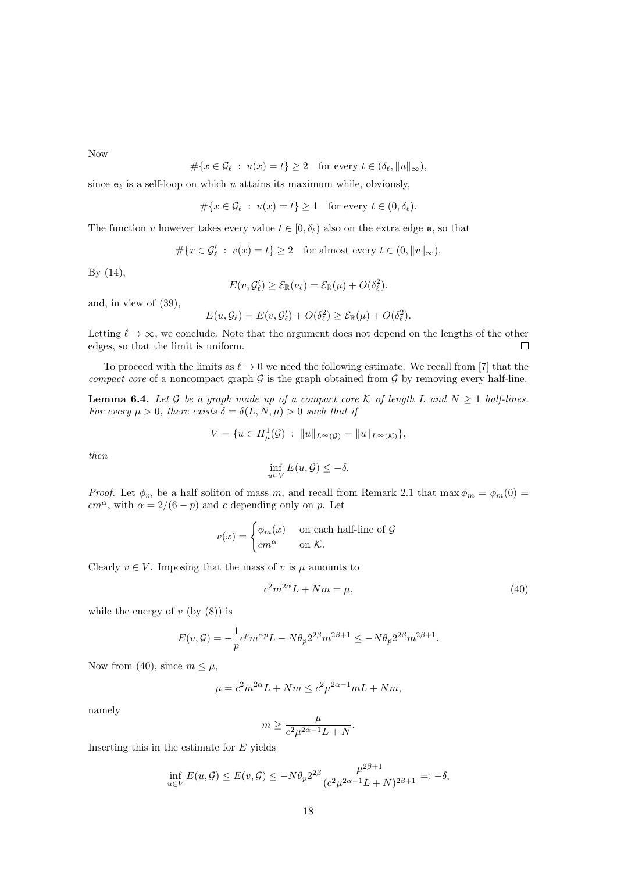Now

$$
\#\{x \in \mathcal{G}_{\ell} \ : \ u(x) = t\} \ge 2 \quad \text{for every } t \in (\delta_{\ell}, \|u\|_{\infty}),
$$

since  $e_\ell$  is a self-loop on which u attains its maximum while, obviously,

$$
\#\{x \in \mathcal{G}_\ell \ : \ u(x) = t\} \ge 1 \quad \text{for every } t \in (0, \delta_\ell).
$$

The function v however takes every value  $t \in [0, \delta_{\ell})$  also on the extra edge e, so that

$$
\#\{x \in \mathcal{G}'_{\ell} \ : \ v(x) = t\} \ge 2 \quad \text{for almost every } t \in (0, \|v\|_{\infty}).
$$

By (14),

$$
E(v, \mathcal{G}'_{\ell}) \geq \mathcal{E}_{\mathbb{R}}(\nu_{\ell}) = \mathcal{E}_{\mathbb{R}}(\mu) + O(\delta_{\ell}^2).
$$

and, in view of (39),

$$
E(u, \mathcal{G}_{\ell}) = E(v, \mathcal{G}'_{\ell}) + O(\delta_{\ell}^2) \geq \mathcal{E}_{\mathbb{R}}(\mu) + O(\delta_{\ell}^2).
$$

Letting  $\ell \to \infty$ , we conclude. Note that the argument does not depend on the lengths of the other edges, so that the limit is uniform.  $\Box$ 

To proceed with the limits as  $\ell \to 0$  we need the following estimate. We recall from [7] that the compact core of a noncompact graph  $\mathcal G$  is the graph obtained from  $\mathcal G$  by removing every half-line.

**Lemma 6.4.** Let G be a graph made up of a compact core K of length L and  $N \ge 1$  half-lines. For every  $\mu > 0$ , there exists  $\delta = \delta(L, N, \mu) > 0$  such that if

$$
V = \{ u \in H^1_\mu(\mathcal{G}) \; : \; \|u\|_{L^\infty(\mathcal{G})} = \|u\|_{L^\infty(\mathcal{K})} \},
$$

then

$$
\inf_{u \in V} E(u, \mathcal{G}) \leq -\delta.
$$

*Proof.* Let  $\phi_m$  be a half soliton of mass m, and recall from Remark 2.1 that max  $\phi_m = \phi_m(0)$  $cm^{\alpha}$ , with  $\alpha = 2/(6 - p)$  and c depending only on p. Let

$$
v(x) = \begin{cases} \phi_m(x) & \text{on each half-line of } \mathcal{G} \\ cm^{\alpha} & \text{on } \mathcal{K}. \end{cases}
$$

Clearly  $v \in V$ . Imposing that the mass of v is  $\mu$  amounts to

$$
c^2 m^{2\alpha} L + Nm = \mu,\tag{40}
$$

while the energy of  $v$  (by  $(8)$ ) is

$$
E(v, \mathcal{G}) = -\frac{1}{p}c^p m^{\alpha p} L - N \theta_p 2^{2\beta} m^{2\beta + 1} \leq -N \theta_p 2^{2\beta} m^{2\beta + 1}.
$$

Now from (40), since  $m \leq \mu$ ,

$$
\mu = c^2 m^{2\alpha} L + Nm \le c^2 \mu^{2\alpha - 1} mL + Nm,
$$

namely

$$
m\geq \frac{\mu}{c^2\mu^{2\alpha-1}L+N}.
$$

Inserting this in the estimate for  $E$  yields

$$
\inf_{u \in V} E(u, \mathcal{G}) \le E(v, \mathcal{G}) \le -N \theta_p 2^{2\beta} \frac{\mu^{2\beta+1}}{(c^2 \mu^{2\alpha-1} L + N)^{2\beta+1}} =: -\delta,
$$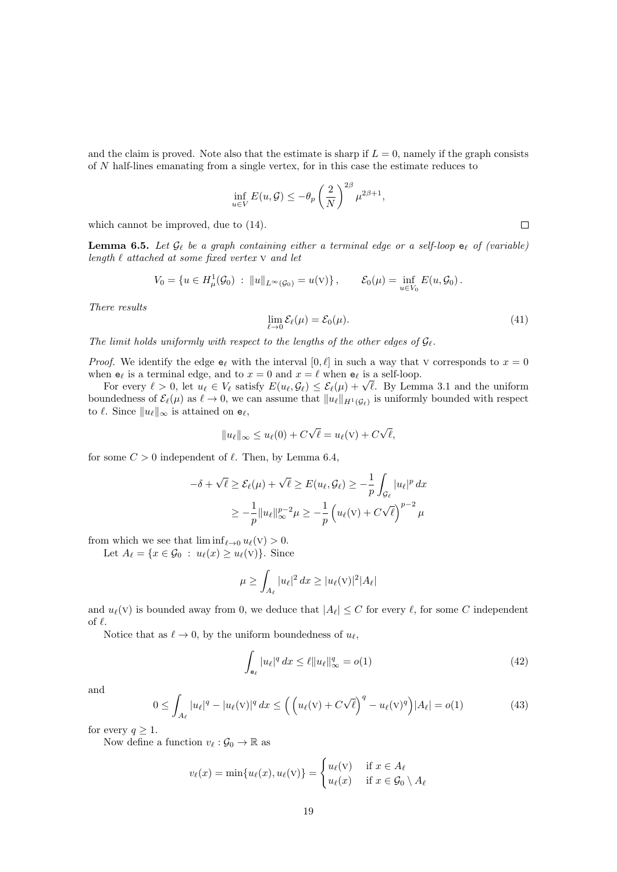and the claim is proved. Note also that the estimate is sharp if  $L = 0$ , namely if the graph consists of N half-lines emanating from a single vertex, for in this case the estimate reduces to

$$
\inf_{u \in V} E(u, \mathcal{G}) \le -\theta_p \left(\frac{2}{N}\right)^{2\beta} \mu^{2\beta+1},
$$

which cannot be improved, due to (14).

**Lemma 6.5.** Let  $\mathcal{G}_{\ell}$  be a graph containing either a terminal edge or a self-loop  $e_{\ell}$  of (variable) length  $\ell$  attached at some fixed vertex  $\nabla$  and let

$$
V_0 = \{ u \in H^1_\mu(\mathcal{G}_0) \; : \; \|u\|_{L^\infty(\mathcal{G}_0)} = u(\mathbf{V}) \}, \qquad \mathcal{E}_0(\mu) = \inf_{u \in V_0} E(u, \mathcal{G}_0).
$$

There results

$$
\lim_{\ell \to 0} \mathcal{E}_{\ell}(\mu) = \mathcal{E}_0(\mu). \tag{41}
$$

 $\Box$ 

The limit holds uniformly with respect to the lengths of the other edges of  $\mathcal{G}_{\ell}$ .

*Proof.* We identify the edge  $e_\ell$  with the interval  $[0, \ell]$  in such a way that v corresponds to  $x = 0$ when  $e_\ell$  is a terminal edge, and to  $x = 0$  and  $x = \ell$  when  $e_\ell$  is a self-loop.

Exercise is a terminal edge, and to  $x = 0$  and  $x = \ell$  when  $\mathbf{e}_{\ell}$  is a self-loop.<br>For every  $\ell > 0$ , let  $u_{\ell} \in V_{\ell}$  satisfy  $E(u_{\ell}, \mathcal{G}_{\ell}) \leq \mathcal{E}_{\ell}(\mu) + \sqrt{\ell}$ . By Lemma 3.1 and the uniform boundedness of  $\mathcal{E}_{\ell}(\mu)$  as  $\ell \to 0$ , we can assume that  $||u_{\ell}||_{H^1(\mathcal{G}_{\ell})}$  is uniformly bounded with respect to  $\ell$ . Since  $||u_{\ell}||_{\infty}$  is attained on  $e_{\ell}$ ,

$$
||u_{\ell}||_{\infty} \leq u_{\ell}(0) + C\sqrt{\ell} = u_{\ell}(v) + C\sqrt{\ell},
$$

for some  $C > 0$  independent of  $\ell$ . Then, by Lemma 6.4,

$$
-\delta + \sqrt{\ell} \ge \mathcal{E}_{\ell}(\mu) + \sqrt{\ell} \ge E(u_{\ell}, \mathcal{G}_{\ell}) \ge -\frac{1}{p} \int_{\mathcal{G}_{\ell}} |u_{\ell}|^p dx
$$
  

$$
\ge -\frac{1}{p} ||u_{\ell}||_{\infty}^{p-2} \mu \ge -\frac{1}{p} \left( u_{\ell}(\mathbf{v}) + C\sqrt{\ell} \right)^{p-2} \mu
$$

from which we see that  $\liminf_{\ell \to 0} u_{\ell}(v) > 0$ .

Let  $A_{\ell} = \{x \in \mathcal{G}_0 : u_{\ell}(x) \geq u_{\ell}(v)\}.$  Since

$$
\mu \ge \int_{A_{\ell}} |u_{\ell}|^2 dx \ge |u_{\ell}(v)|^2 |A_{\ell}|
$$

and  $u_{\ell}(v)$  is bounded away from 0, we deduce that  $|A_{\ell}| \leq C$  for every  $\ell$ , for some C independent of  $\ell$ .

Notice that as  $\ell \to 0$ , by the uniform boundedness of  $u_{\ell}$ ,

$$
\int_{\mathbf{e}_{\ell}} |u_{\ell}|^{q} dx \leq \ell \|u_{\ell}\|_{\infty}^{q} = o(1)
$$
\n(42)

and

$$
\leq \int_{A_{\ell}} |u_{\ell}|^{q} - |u_{\ell}(v)|^{q} dx \leq \left( \left( u_{\ell}(v) + C\sqrt{\ell} \right)^{q} - u_{\ell}(v)^{q} \right) |A_{\ell}| = o(1) \tag{43}
$$

for every  $q \geq 1$ .

Now define a function  $v_\ell : \mathcal{G}_0 \to \mathbb{R}$  as

 $\theta$ 

$$
v_{\ell}(x) = \min\{u_{\ell}(x), u_{\ell}(v)\} = \begin{cases} u_{\ell}(v) & \text{if } x \in A_{\ell} \\ u_{\ell}(x) & \text{if } x \in \mathcal{G}_0 \setminus A_{\ell} \end{cases}
$$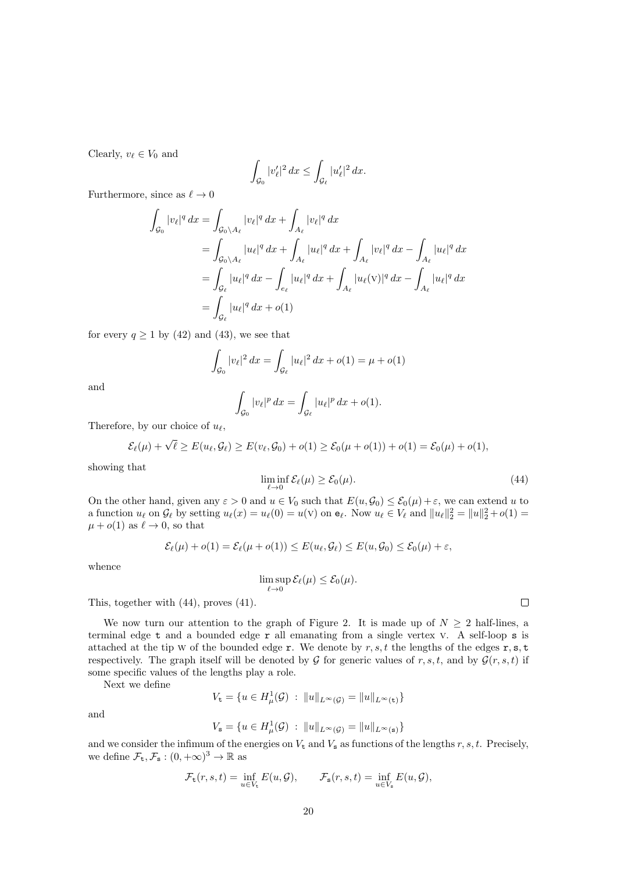Clearly,  $v_\ell \in V_0$  and

$$
\int_{\mathcal{G}_0} |v'_{\ell}|^2 dx \le \int_{\mathcal{G}_{\ell}} |u'_{\ell}|^2 dx.
$$

Furthermore, since as  $\ell \to 0$ 

$$
\int_{\mathcal{G}_0} |v_{\ell}|^q dx = \int_{\mathcal{G}_0 \setminus A_{\ell}} |v_{\ell}|^q dx + \int_{A_{\ell}} |v_{\ell}|^q dx
$$
  
\n
$$
= \int_{\mathcal{G}_0 \setminus A_{\ell}} |u_{\ell}|^q dx + \int_{A_{\ell}} |u_{\ell}|^q dx + \int_{A_{\ell}} |v_{\ell}|^q dx - \int_{A_{\ell}} |u_{\ell}|^q dx
$$
  
\n
$$
= \int_{\mathcal{G}_{\ell}} |u_{\ell}|^q dx - \int_{e_{\ell}} |u_{\ell}|^q dx + \int_{A_{\ell}} |u_{\ell}(v)|^q dx - \int_{A_{\ell}} |u_{\ell}|^q dx
$$
  
\n
$$
= \int_{\mathcal{G}_{\ell}} |u_{\ell}|^q dx + o(1)
$$

for every  $q \ge 1$  by (42) and (43), we see that

$$
\int_{\mathcal{G}_0} |v_\ell|^2 \, dx = \int_{\mathcal{G}_\ell} |u_\ell|^2 \, dx + o(1) = \mu + o(1)
$$

and

$$
\int_{\mathcal{G}_0} |v_\ell|^p \, dx = \int_{\mathcal{G}_\ell} |u_\ell|^p \, dx + o(1).
$$

Therefore, by our choice of  $u_{\ell}$ ,

$$
\mathcal{E}_{\ell}(\mu)+\sqrt{\ell}\geq E(u_{\ell},\mathcal{G}_{\ell})\geq E(v_{\ell},\mathcal{G}_0)+o(1)\geq \mathcal{E}_0(\mu+o(1))+o(1)=\mathcal{E}_0(\mu)+o(1),
$$

showing that

$$
\liminf_{\ell \to 0} \mathcal{E}_{\ell}(\mu) \ge \mathcal{E}_0(\mu). \tag{44}
$$

On the other hand, given any  $\varepsilon > 0$  and  $u \in V_0$  such that  $E(u, \mathcal{G}_0) \leq \mathcal{E}_0(\mu) + \varepsilon$ , we can extend u to a function  $u_\ell$  on  $\mathcal{G}_\ell$  by setting  $u_\ell(x) = u_\ell(0) = u(v)$  on  $\mathbf{e}_\ell$ . Now  $u_\ell \in V_\ell$  and  $||u_\ell||_2^2 = ||u||_2^2 + o(1) =$  $\mu + o(1)$  as  $\ell \to 0$ , so that

$$
\mathcal{E}_{\ell}(\mu) + o(1) = \mathcal{E}_{\ell}(\mu + o(1)) \le E(u_{\ell}, \mathcal{G}_{\ell}) \le E(u, \mathcal{G}_{0}) \le \mathcal{E}_{0}(\mu) + \varepsilon,
$$

whence

$$
\limsup_{\ell\to 0} \mathcal{E}_{\ell}(\mu) \leq \mathcal{E}_{0}(\mu).
$$

This, together with (44), proves (41).

We now turn our attention to the graph of Figure 2. It is made up of  $N \geq 2$  half-lines, a terminal edge t and a bounded edge r all emanating from a single vertex v. A self-loop s is attached at the tip W of the bounded edge r. We denote by r, s, t the lengths of the edges r, s, t respectively. The graph itself will be denoted by G for generic values of r, s, t, and by  $\mathcal{G}(r, s, t)$  if some specific values of the lengths play a role.

Next we define

$$
V_{\mathbf{t}} = \{ u \in H^1_{\mu}(\mathcal{G}) \ : \ \|u\|_{L^{\infty}(\mathcal{G})} = \|u\|_{L^{\infty}(\mathbf{t})} \}
$$

and

$$
V_{s} = \{ u \in H^{1}_{\mu}(\mathcal{G}) \ : \ \|u\|_{L^{\infty}(\mathcal{G})} = \|u\|_{L^{\infty}(s)} \}
$$

and we consider the infimum of the energies on  $V_t$  and  $V_s$  as functions of the lengths r, s, t. Precisely, we define  $\mathcal{F}_{\mathbf{t}}, \mathcal{F}_{\mathbf{s}} : (0, +\infty)^3 \to \mathbb{R}$  as

$$
\mathcal{F}_{\mathsf{t}}(r,s,t) = \inf_{u \in V_{\mathsf{t}}} E(u,\mathcal{G}), \qquad \mathcal{F}_{\mathsf{s}}(r,s,t) = \inf_{u \in V_{\mathsf{s}}} E(u,\mathcal{G}),
$$

 $\Box$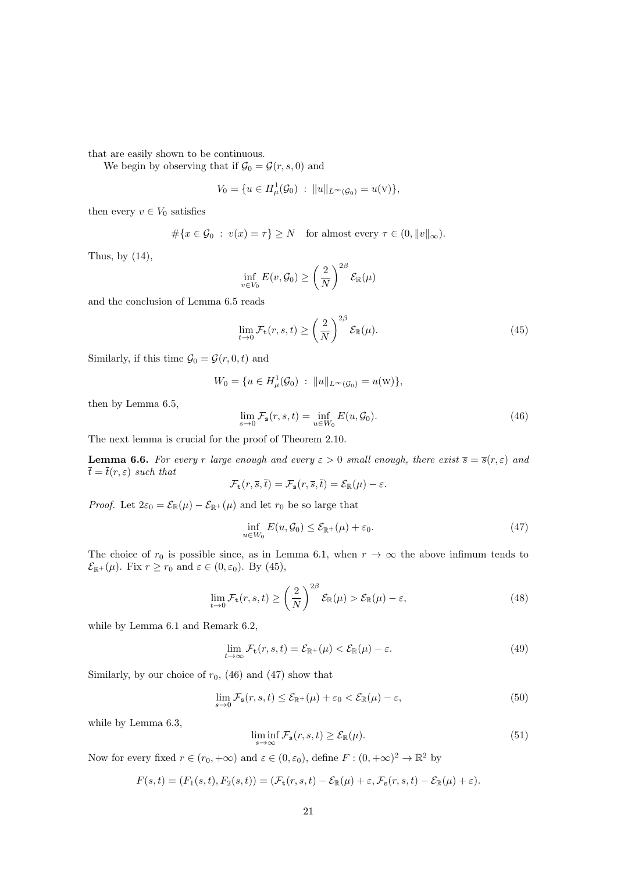that are easily shown to be continuous.

We begin by observing that if  $\mathcal{G}_0 = \mathcal{G}(r, s, 0)$  and

$$
V_0 = \{ u \in H^1_\mu(\mathcal{G}_0) \; : \; \|u\|_{L^\infty(\mathcal{G}_0)} = u(\mathbf{V}) \},
$$

then every  $v \in V_0$  satisfies

$$
\#\{x \in \mathcal{G}_0 : v(x) = \tau\} \ge N \quad \text{for almost every } \tau \in (0, \|v\|_{\infty}).
$$

Thus, by  $(14)$ ,

$$
\inf_{v \in V_0} E(v, \mathcal{G}_0) \ge \left(\frac{2}{N}\right)^{2\beta} \mathcal{E}_{\mathbb{R}}(\mu)
$$

and the conclusion of Lemma 6.5 reads

$$
\lim_{t \to 0} \mathcal{F}_{\mathbf{t}}(r, s, t) \ge \left(\frac{2}{N}\right)^{2\beta} \mathcal{E}_{\mathbb{R}}(\mu). \tag{45}
$$

Similarly, if this time  $\mathcal{G}_0 = \mathcal{G}(r, 0, t)$  and

$$
W_0 = \{ u \in H^1_\mu(\mathcal{G}_0) : ||u||_{L^\infty(\mathcal{G}_0)} = u(\mathbf{W}) \},
$$

then by Lemma 6.5,

$$
\lim_{s \to 0} \mathcal{F}_s(r, s, t) = \inf_{u \in W_0} E(u, \mathcal{G}_0).
$$
\n(46)

The next lemma is crucial for the proof of Theorem 2.10.

**Lemma 6.6.** For every r large enough and every  $\varepsilon > 0$  small enough, there exist  $\overline{s} = \overline{s}(r, \varepsilon)$  and  $\bar{t} = \bar{t}(r, \varepsilon)$  such that

$$
\mathcal{F}_{\mathsf{t}}(r,\overline{s},\overline{t})=\mathcal{F}_{\mathsf{s}}(r,\overline{s},\overline{t})=\mathcal{E}_{\mathbb{R}}(\mu)-\varepsilon.
$$

*Proof.* Let  $2\varepsilon_0 = \mathcal{E}_{\mathbb{R}}(\mu) - \mathcal{E}_{\mathbb{R}^+}(\mu)$  and let  $r_0$  be so large that

$$
\inf_{u \in W_0} E(u, \mathcal{G}_0) \le \mathcal{E}_{\mathbb{R}^+}(\mu) + \varepsilon_0.
$$
\n(47)

The choice of  $r_0$  is possible since, as in Lemma 6.1, when  $r \to \infty$  the above infimum tends to  $\mathcal{E}_{\mathbb{R}^+}(\mu)$ . Fix  $r \ge r_0$  and  $\varepsilon \in (0, \varepsilon_0)$ . By (45),

$$
\lim_{t \to 0} \mathcal{F}_{\mathbf{t}}(r, s, t) \ge \left(\frac{2}{N}\right)^{2\beta} \mathcal{E}_{\mathbb{R}}(\mu) > \mathcal{E}_{\mathbb{R}}(\mu) - \varepsilon,
$$
\n(48)

while by Lemma 6.1 and Remark 6.2,

$$
\lim_{t \to \infty} \mathcal{F}_{\mathbf{t}}(r, s, t) = \mathcal{E}_{\mathbb{R}^+}(\mu) < \mathcal{E}_{\mathbb{R}}(\mu) - \varepsilon. \tag{49}
$$

Similarly, by our choice of  $r_0$ , (46) and (47) show that

$$
\lim_{s \to 0} \mathcal{F}_{s}(r, s, t) \le \mathcal{E}_{\mathbb{R}^+}(\mu) + \varepsilon_0 < \mathcal{E}_{\mathbb{R}}(\mu) - \varepsilon,\tag{50}
$$

while by Lemma 6.3,

$$
\liminf_{s \to \infty} \mathcal{F}_s(r, s, t) \ge \mathcal{E}_{\mathbb{R}}(\mu). \tag{51}
$$

Now for every fixed  $r \in (r_0, +\infty)$  and  $\varepsilon \in (0, \varepsilon_0)$ , define  $F : (0, +\infty)^2 \to \mathbb{R}^2$  by

$$
F(s,t)=(F_1(s,t),F_2(s,t))=(\mathcal{F}_{\mathbf{t}}(r,s,t)-\mathcal{E}_{\mathbb{R}}(\mu)+\varepsilon,\mathcal{F}_{\mathbf{s}}(r,s,t)-\mathcal{E}_{\mathbb{R}}(\mu)+\varepsilon).
$$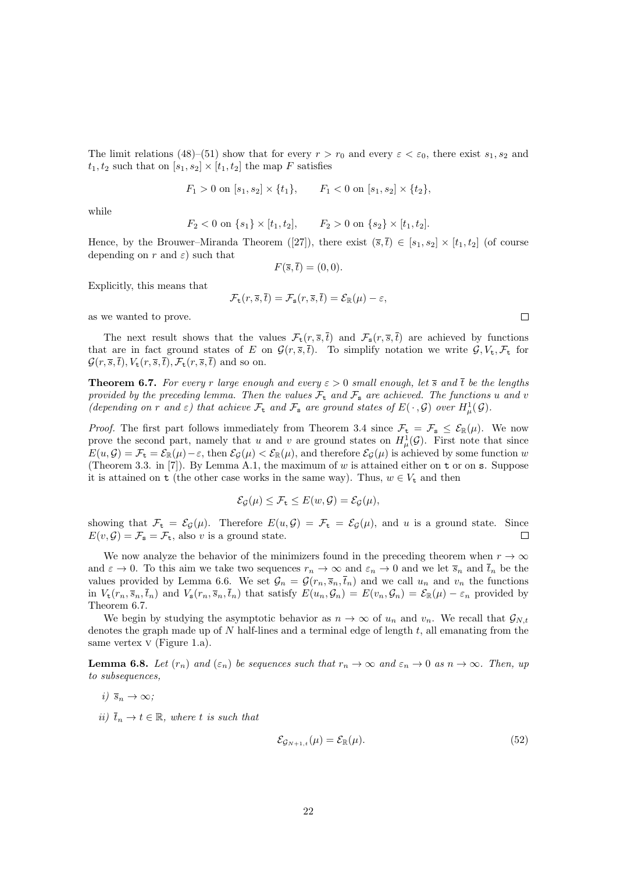The limit relations (48)–(51) show that for every  $r > r_0$  and every  $\varepsilon < \varepsilon_0$ , there exist  $s_1, s_2$  and  $t_1, t_2$  such that on  $[s_1, s_2] \times [t_1, t_2]$  the map F satisfies

$$
F_1 > 0
$$
 on  $[s_1, s_2] \times \{t_1\}$ ,  $F_1 < 0$  on  $[s_1, s_2] \times \{t_2\}$ ,

while

$$
F_2 < 0
$$
 on  $\{s_1\} \times [t_1, t_2]$ ,  $F_2 > 0$  on  $\{s_2\} \times [t_1, t_2]$ .

Hence, by the Brouwer–Miranda Theorem ([27]), there exist  $(\overline{s},\overline{t}) \in [s_1,s_2] \times [t_1,t_2]$  (of course depending on r and  $\varepsilon$ ) such that

$$
F(\overline{s}, \overline{t}) = (0, 0).
$$

Explicitly, this means that

$$
\mathcal{F}_{\mathsf{t}}(r,\overline{s},\overline{t})=\mathcal{F}_{\mathsf{s}}(r,\overline{s},\overline{t})=\mathcal{E}_{\mathbb{R}}(\mu)-\varepsilon,
$$

as we wanted to prove.

The next result shows that the values  $\mathcal{F}_t(r, \overline{s}, \overline{t})$  and  $\mathcal{F}_s(r, \overline{s}, \overline{t})$  are achieved by functions that are in fact ground states of E on  $\mathcal{G}(r,\overline{s},\overline{t})$ . To simplify notation we write  $\mathcal{G}, V_t, \mathcal{F}_t$  for  $\mathcal{G}(r,\overline{s},\overline{t}), V_{\rm t}(r,\overline{s},\overline{t}), \mathcal{F}_{\rm t}(r,\overline{s},\overline{t})$  and so on.

**Theorem 6.7.** For every r large enough and every  $\varepsilon > 0$  small enough, let  $\overline{s}$  and  $\overline{t}$  be the lengths provided by the preceding lemma. Then the values  $\mathcal{F}_{t}$  and  $\mathcal{F}_{s}$  are achieved. The functions u and v (depending on r and  $\varepsilon$ ) that achieve  $\mathcal{F}_{t}$  and  $\mathcal{F}_{s}$  are ground states of  $E(\cdot, \mathcal{G})$  over  $H_{\mu}^{1}(\mathcal{G})$ .

*Proof.* The first part follows immediately from Theorem 3.4 since  $\mathcal{F}_t = \mathcal{F}_s \leq \mathcal{E}_{\mathbb{R}}(\mu)$ . We now prove the second part, namely that u and v are ground states on  $H^1_\mu(\mathcal{G})$ . First note that since  $E(u, \mathcal{G}) = \mathcal{F}_t = \mathcal{E}_{\mathbb{R}}(\mu) - \varepsilon$ , then  $\mathcal{E}_{\mathcal{G}}(\mu) < \mathcal{E}_{\mathbb{R}}(\mu)$ , and therefore  $\mathcal{E}_{\mathcal{G}}(\mu)$  is achieved by some function w (Theorem 3.3. in [7]). By Lemma A.1, the maximum of w is attained either on  $t$  or on  $s$ . Suppose it is attained on t (the other case works in the same way). Thus,  $w \in V_t$  and then

$$
\mathcal{E}_{\mathcal{G}}(\mu) \leq \mathcal{F}_{\mathbf{t}} \leq E(w, \mathcal{G}) = \mathcal{E}_{\mathcal{G}}(\mu),
$$

showing that  $\mathcal{F}_t = \mathcal{E}_{\mathcal{G}}(\mu)$ . Therefore  $E(u, \mathcal{G}) = \mathcal{F}_t = \mathcal{E}_{\mathcal{G}}(\mu)$ , and u is a ground state. Since  $E(v, \mathcal{G}) = \mathcal{F}_s = \mathcal{F}_t$ , also v is a ground state.  $\Box$ 

We now analyze the behavior of the minimizers found in the preceding theorem when  $r \to \infty$ and  $\varepsilon \to 0$ . To this aim we take two sequences  $r_n \to \infty$  and  $\varepsilon_n \to 0$  and we let  $\overline{s}_n$  and  $\overline{t}_n$  be the values provided by Lemma 6.6. We set  $\mathcal{G}_n = \mathcal{G}(r_n, \bar{s}_n, \bar{t}_n)$  and we call  $u_n$  and  $v_n$  the functions in  $V_t(r_n, \overline{s}_n, \overline{t}_n)$  and  $V_s(r_n, \overline{s}_n, \overline{t}_n)$  that satisfy  $E(u_n, \mathcal{G}_n) = E(v_n, \mathcal{G}_n) = \mathcal{E}_{\mathbb{R}}(\mu) - \varepsilon_n$  provided by Theorem 6.7.

We begin by studying the asymptotic behavior as  $n \to \infty$  of  $u_n$  and  $v_n$ . We recall that  $\mathcal{G}_{N,t}$ denotes the graph made up of N half-lines and a terminal edge of length t, all emanating from the same vertex  $V$  (Figure 1.a).

**Lemma 6.8.** Let  $(r_n)$  and  $(\varepsilon_n)$  be sequences such that  $r_n \to \infty$  and  $\varepsilon_n \to 0$  as  $n \to \infty$ . Then, up to subsequences,

- i)  $\overline{s}_n \to \infty$ ;
- ii)  $\bar{t}_n \to t \in \mathbb{R}$ , where t is such that

$$
\mathcal{E}_{\mathcal{G}_{N+1,t}}(\mu) = \mathcal{E}_{\mathbb{R}}(\mu). \tag{52}
$$

 $\Box$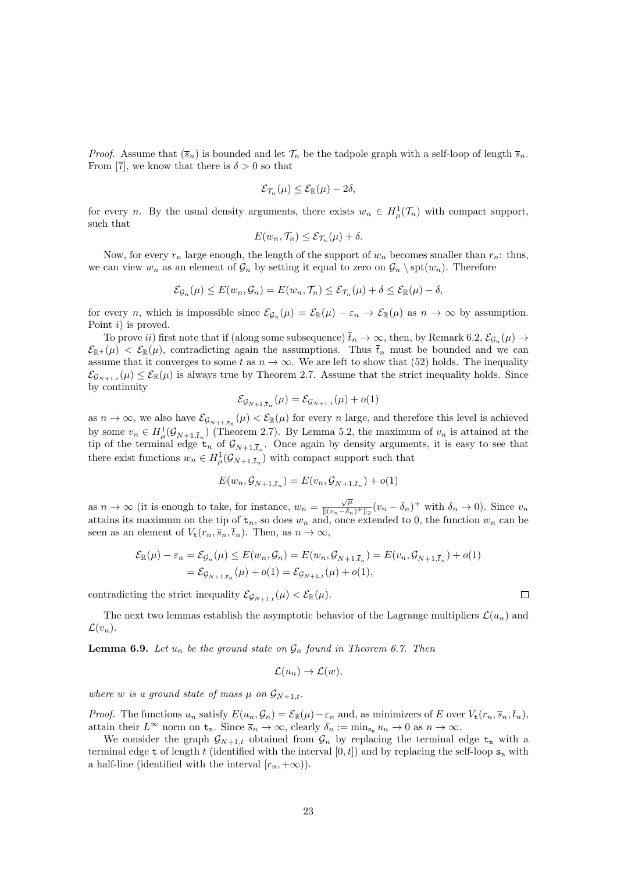*Proof.* Assume that  $(\bar{s}_n)$  is bounded and let  $\mathcal{T}_n$  be the tadpole graph with a self-loop of length  $\bar{s}_n$ . From [7], we know that there is  $\delta > 0$  so that

$$
\mathcal{E}_{\mathcal{T}_n}(\mu) \leq \mathcal{E}_{\mathbb{R}}(\mu) - 2\delta,
$$

for every *n*. By the usual density arguments, there exists  $w_n \in H^1_\mu(\mathcal{T}_n)$  with compact support, such that

$$
E(w_n, \mathcal{T}_n) \leq \mathcal{E}_{\mathcal{T}_n}(\mu) + \delta.
$$

Now, for every  $r_n$  large enough, the length of the support of  $w_n$  becomes smaller than  $r_n$ : thus, we can view  $w_n$  as an element of  $\mathcal{G}_n$  by setting it equal to zero on  $\mathcal{G}_n \setminus \text{spt}(w_n)$ . Therefore

$$
\mathcal{E}_{\mathcal{G}_n}(\mu) \leq E(w_n, \mathcal{G}_n) = E(w_n, \mathcal{T}_n) \leq \mathcal{E}_{\mathcal{T}_n}(\mu) + \delta \leq \mathcal{E}_{\mathbb{R}}(\mu) - \delta,
$$

for every *n*, which is impossible since  $\mathcal{E}_{\mathcal{G}_n}(\mu) = \mathcal{E}_{\mathbb{R}}(\mu) - \varepsilon_n \to \mathcal{E}_{\mathbb{R}}(\mu)$  as  $n \to \infty$  by assumption. Point *i*) is proved.

To prove *ii*) first note that if (along some subsequence)  $\bar{t}_n \to \infty$ , then, by Remark 6.2,  $\mathcal{E}_{\mathcal{G}_n}(\mu) \to$  $\mathcal{E}_{\mathbb{R}^+}(\mu) < \mathcal{E}_{\mathbb{R}}(\mu)$ , contradicting again the assumptions. Thus  $\bar{t}_n$  must be bounded and we can assume that it converges to some t as  $n \to \infty$ . We are left to show that (52) holds. The inequality  $\mathcal{E}_{\mathcal{G}_{N+1,t}}(\mu) \leq \mathcal{E}_{\mathbb{R}}(\mu)$  is always true by Theorem 2.7. Assume that the strict inequality holds. Since by continuity

$$
\mathcal{E}_{\mathcal{G}_{N+1,\bar{t}_n}}(\mu) = \mathcal{E}_{\mathcal{G}_{N+1,t}}(\mu) + o(1)
$$

as  $n \to \infty$ , we also have  $\mathcal{E}_{\mathcal{G}_{N+1,\bar{t}_n}}(\mu) < \mathcal{E}_{\mathbb{R}}(\mu)$  for every n large, and therefore this level is achieved by some  $v_n \in H^1_\mu(\mathcal{G}_{N+1,\bar{t}_n})$  (Theorem 2.7). By Lemma 5.2, the maximum of  $v_n$  is attained at the tip of the terminal edge  $t_n$  of  $\mathcal{G}_{N+1,\bar{t}_n}$ . Once again by density arguments, it is easy to see that there exist functions  $w_n \in H^1_\mu(\mathcal{G}_{N+1,\bar{t}_n})$  with compact support such that

$$
E(w_n, \mathcal{G}_{N+1, \overline{t}_n}) = E(v_n, \mathcal{G}_{N+1, \overline{t}_n}) + o(1)
$$

as  $n \to \infty$  (it is enough to take, for instance,  $w_n = \frac{\sqrt{\mu}}{\ln(n - \delta)}$  $\frac{\sqrt{\mu}}{\|(v_n-\delta_n)^+\|_2}(v_n-\delta_n)^+$  with  $\delta_n\to 0$ ). Since  $v_n$ attains its maximum on the tip of  $t_n$ , so does  $w_n$  and, once extended to 0, the function  $w_n$  can be seen as an element of  $V_t(r_n, \bar{s}_n, \bar{t}_n)$ . Then, as  $n \to \infty$ ,

$$
\mathcal{E}_{\mathbb{R}}(\mu) - \varepsilon_n = \mathcal{E}_{\mathcal{G}_n}(\mu) \le E(w_n, \mathcal{G}_n) = E(w_n, \mathcal{G}_{N+1, \bar{t}_n}) = E(v_n, \mathcal{G}_{N+1, \bar{t}_n}) + o(1) \n= \mathcal{E}_{\mathcal{G}_{N+1, \bar{t}_n}}(\mu) + o(1) = \mathcal{E}_{\mathcal{G}_{N+1, t}}(\mu) + o(1),
$$

contradicting the strict inequality  $\mathcal{E}_{\mathcal{G}_{N+1,t}}(\mu) < \mathcal{E}_{\mathbb{R}}(\mu)$ .

The next two lemmas establish the asymptotic behavior of the Lagrange multipliers  $\mathcal{L}(u_n)$  and  $\mathcal{L}(v_n)$ .

**Lemma 6.9.** Let  $u_n$  be the ground state on  $\mathcal{G}_n$  found in Theorem 6.7. Then

$$
\mathcal{L}(u_n)\to \mathcal{L}(w),
$$

where w is a ground state of mass  $\mu$  on  $\mathcal{G}_{N+1,t}$ .

*Proof.* The functions  $u_n$  satisfy  $E(u_n, \mathcal{G}_n) = \mathcal{E}_{\mathbb{R}}(\mu) - \varepsilon_n$  and, as minimizers of E over  $V_t(r_n, \bar{s}_n, \bar{t}_n)$ , attain their  $L^{\infty}$  norm on  $t_n$ . Since  $\overline{s}_n \to \infty$ , clearly  $\delta_n := \min_{s_n} u_n \to 0$  as  $n \to \infty$ .

We consider the graph  $\mathcal{G}_{N+1,t}$  obtained from  $\mathcal{G}_n$  by replacing the terminal edge  $t_n$  with a terminal edge t of length t (identified with the interval  $[0, t]$ ) and by replacing the self-loop  $s_n$  with a half-line (identified with the interval  $[r_n, +\infty)$ ).

 $\Box$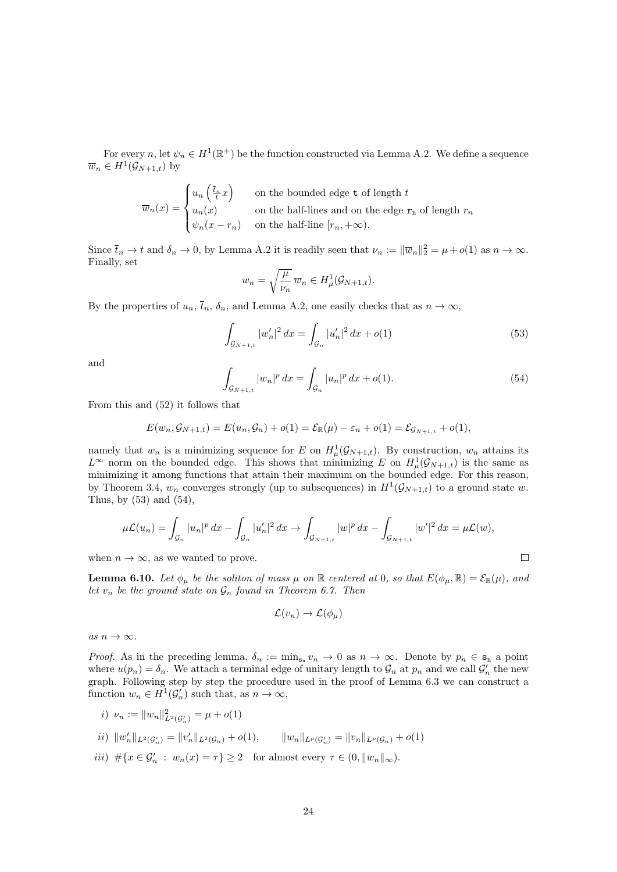For every n, let  $\psi_n \in H^1(\mathbb{R}^+)$  be the function constructed via Lemma A.2. We define a sequence  $\overline{w}_n \in H^1(\mathcal{G}_{N+1,t})$  by

$$
\overline{w}_n(x) = \begin{cases} u_n\left(\frac{\overline{t}_n}{t}x\right) & \text{on the bounded edge } t \text{ of length } t \\ u_n(x) & \text{on the half-lines and on the edge } \mathbf{r}_n \text{ of length } r_n \\ \psi_n(x - r_n) & \text{on the half-line } [r_n, +\infty). \end{cases}
$$

Since  $\bar{t}_n \to t$  and  $\delta_n \to 0$ , by Lemma A.2 it is readily seen that  $\nu_n := ||\overline{w}_n||_2^2 = \mu + o(1)$  as  $n \to \infty$ . Finally, set

$$
w_n = \sqrt{\frac{\mu}{\nu_n}} \,\overline{w}_n \in H^1_\mu(\mathcal{G}_{N+1,t}).
$$

By the properties of  $u_n, \bar{t}_n, \delta_n$ , and Lemma A.2, one easily checks that as  $n \to \infty$ ,

$$
\int_{\mathcal{G}_{N+1,t}} |w'_n|^2 \, dx = \int_{\mathcal{G}_n} |u'_n|^2 \, dx + o(1) \tag{53}
$$

and

$$
\int_{\mathcal{G}_{N+1,t}} |w_n|^p \, dx = \int_{\mathcal{G}_n} |u_n|^p \, dx + o(1). \tag{54}
$$

 $\Box$ 

From this and (52) it follows that

$$
E(w_n, \mathcal{G}_{N+1,t}) = E(u_n, \mathcal{G}_n) + o(1) = \mathcal{E}_{\mathbb{R}}(\mu) - \varepsilon_n + o(1) = \mathcal{E}_{\mathcal{G}_{N+1,t}} + o(1),
$$

namely that  $w_n$  is a minimizing sequence for E on  $H^1_\mu(\mathcal{G}_{N+1,t})$ . By construction,  $w_n$  attains its  $L^{\infty}$  norm on the bounded edge. This shows that minimizing E on  $H^1_\mu(\mathcal{G}_{N+1,t})$  is the same as minimizing it among functions that attain their maximum on the bounded edge. For this reason, by Theorem 3.4,  $w_n$  converges strongly (up to subsequences) in  $H^1(\mathcal{G}_{N+1,t})$  to a ground state w. Thus, by  $(53)$  and  $(54)$ ,

$$
\mu \mathcal{L}(u_n) = \int_{\mathcal{G}_n} |u_n|^p \, dx - \int_{\mathcal{G}_n} |u_n'|^2 \, dx \to \int_{\mathcal{G}_{N+1,t}} |w|^p \, dx - \int_{\mathcal{G}_{N+1,t}} |w'|^2 \, dx = \mu \mathcal{L}(w),
$$

when  $n \to \infty$ , as we wanted to prove.

**Lemma 6.10.** Let  $\phi_{\mu}$  be the soliton of mass  $\mu$  on  $\mathbb{R}$  centered at 0, so that  $E(\phi_{\mu}, \mathbb{R}) = \mathcal{E}_{\mathbb{R}}(\mu)$ , and let  $v_n$  be the ground state on  $\mathcal{G}_n$  found in Theorem 6.7. Then

$$
\mathcal{L}(v_n) \to \mathcal{L}(\phi_\mu)
$$

as  $n \to \infty$ .

*Proof.* As in the preceding lemma,  $\delta_n := \min_{\mathbf{s}_n} v_n \to 0$  as  $n \to \infty$ . Denote by  $p_n \in \mathbf{s}_n$  a point where  $u(p_n) = \delta_n$ . We attach a terminal edge of unitary length to  $\mathcal{G}_n$  at  $p_n$  and we call  $\mathcal{G}'_n$  the new graph. Following step by step the procedure used in the proof of Lemma 6.3 we can construct a function  $w_n \in H^1(\mathcal{G}'_n)$  such that, as  $n \to \infty$ ,

i) 
$$
\nu_n := ||w_n||^2_{L^2(\mathcal{G}'_n)} = \mu + o(1)
$$

$$
ii) \|w_n'\|_{L^2(\mathcal{G}_n')} = \|v_n'\|_{L^2(\mathcal{G}_n)} + o(1), \qquad \|w_n\|_{L^p(\mathcal{G}_n')} = \|v_n\|_{L^p(\mathcal{G}_n)} + o(1)
$$

iii)  $\#\{x \in \mathcal{G}'_n : w_n(x) = \tau\} \ge 2$  for almost every  $\tau \in (0, \|w_n\|_{\infty})$ .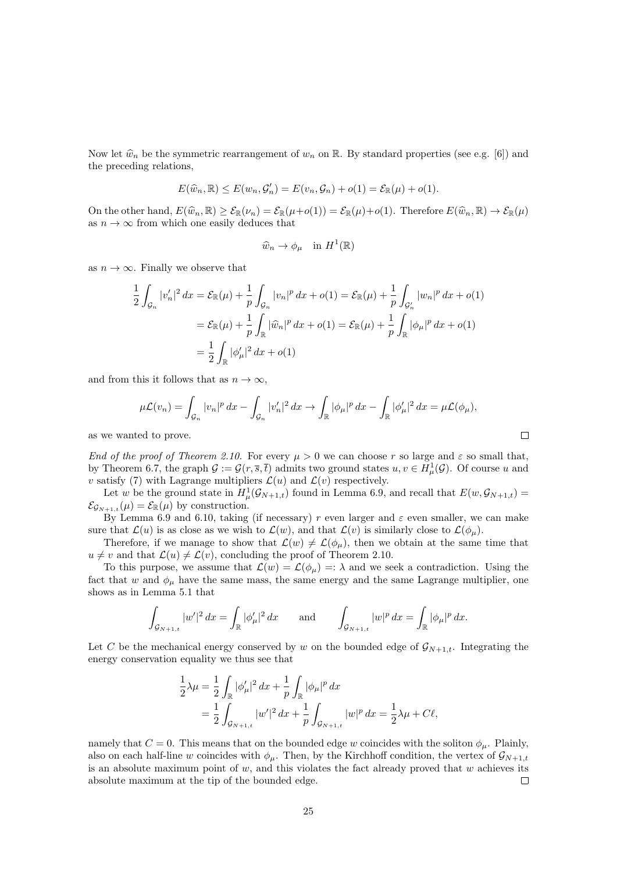Now let  $\hat{w}_n$  be the symmetric rearrangement of  $w_n$  on R. By standard properties (see e.g. [6]) and the preceding relations,

$$
E(\widehat{w}_n, \mathbb{R}) \le E(w_n, \mathcal{G}'_n) = E(v_n, \mathcal{G}_n) + o(1) = \mathcal{E}_{\mathbb{R}}(\mu) + o(1).
$$

On the other hand,  $E(\widehat{w}_n, \mathbb{R}) \geq \mathcal{E}_{\mathbb{R}}(\nu_n) = \mathcal{E}_{\mathbb{R}}(\mu + o(1)) = \mathcal{E}_{\mathbb{R}}(\mu) + o(1)$ . Therefore  $E(\widehat{w}_n, \mathbb{R}) \to \mathcal{E}_{\mathbb{R}}(\mu)$ as  $n \to \infty$  from which one easily deduces that

$$
\widehat{w}_n \to \phi_\mu \quad \text{in } H^1(\mathbb{R})
$$

as  $n \to \infty$ . Finally we observe that

$$
\frac{1}{2} \int_{\mathcal{G}_n} |v'_n|^2 dx = \mathcal{E}_{\mathbb{R}}(\mu) + \frac{1}{p} \int_{\mathcal{G}_n} |v_n|^p dx + o(1) = \mathcal{E}_{\mathbb{R}}(\mu) + \frac{1}{p} \int_{\mathcal{G}'_n} |w_n|^p dx + o(1)
$$

$$
= \mathcal{E}_{\mathbb{R}}(\mu) + \frac{1}{p} \int_{\mathbb{R}} |\hat{w}_n|^p dx + o(1) = \mathcal{E}_{\mathbb{R}}(\mu) + \frac{1}{p} \int_{\mathbb{R}} |\phi_\mu|^p dx + o(1)
$$

$$
= \frac{1}{2} \int_{\mathbb{R}} |\phi'_\mu|^2 dx + o(1)
$$

and from this it follows that as  $n \to \infty$ ,

$$
\mu \mathcal{L}(v_n) = \int_{\mathcal{G}_n} |v_n|^p \, dx - \int_{\mathcal{G}_n} |v_n'|^2 \, dx \to \int_{\mathbb{R}} |\phi_\mu|^p \, dx - \int_{\mathbb{R}} |\phi_\mu'|^2 \, dx = \mu \mathcal{L}(\phi_\mu),
$$
  
ed to prove.

as we wanted to prove.

End of the proof of Theorem 2.10. For every  $\mu > 0$  we can choose r so large and  $\varepsilon$  so small that, by Theorem 6.7, the graph  $\mathcal{G} := \mathcal{G}(r, \overline{s}, \overline{t})$  admits two ground states  $u, v \in H^1_\mu(\mathcal{G})$ . Of course u and v satisfy (7) with Lagrange multipliers  $\mathcal{L}(u)$  and  $\mathcal{L}(v)$  respectively.

Let w be the ground state in  $H^1_\mu(\mathcal{G}_{N+1,t})$  found in Lemma 6.9, and recall that  $E(w,\mathcal{G}_{N+1,t}) =$  $\mathcal{E}_{\mathcal{G}_{N+1,t}}(\mu) = \mathcal{E}_{\mathbb{R}}(\mu)$  by construction.

By Lemma 6.9 and 6.10, taking (if necessary) r even larger and  $\varepsilon$  even smaller, we can make sure that  $\mathcal{L}(u)$  is as close as we wish to  $\mathcal{L}(w)$ , and that  $\mathcal{L}(v)$  is similarly close to  $\mathcal{L}(\phi_u)$ .

Therefore, if we manage to show that  $\mathcal{L}(w) \neq \mathcal{L}(\phi_\mu)$ , then we obtain at the same time that  $u \neq v$  and that  $\mathcal{L}(u) \neq \mathcal{L}(v)$ , concluding the proof of Theorem 2.10.

To this purpose, we assume that  $\mathcal{L}(w) = \mathcal{L}(\phi_{\mu}) =: \lambda$  and we seek a contradiction. Using the fact that w and  $\phi_{\mu}$  have the same mass, the same energy and the same Lagrange multiplier, one shows as in Lemma 5.1 that

$$
\int_{\mathcal{G}_{N+1,t}} |w'|^2 \, dx = \int_{\mathbb{R}} |\phi'_{\mu}|^2 \, dx \quad \text{and} \quad \int_{\mathcal{G}_{N+1,t}} |w|^p \, dx = \int_{\mathbb{R}} |\phi_{\mu}|^p \, dx.
$$

Let C be the mechanical energy conserved by w on the bounded edge of  $\mathcal{G}_{N+1,t}$ . Integrating the energy conservation equality we thus see that

$$
\frac{1}{2}\lambda\mu = \frac{1}{2}\int_{\mathbb{R}} |\phi'_{\mu}|^2 dx + \frac{1}{p}\int_{\mathbb{R}} |\phi_{\mu}|^p dx
$$
  
= 
$$
\frac{1}{2}\int_{\mathcal{G}_{N+1,t}} |w'|^2 dx + \frac{1}{p}\int_{\mathcal{G}_{N+1,t}} |w|^p dx = \frac{1}{2}\lambda\mu + C\ell,
$$

namely that  $C = 0$ . This means that on the bounded edge w coincides with the soliton  $\phi_{\mu}$ . Plainly, also on each half-line w coincides with  $\phi_{\mu}$ . Then, by the Kirchhoff condition, the vertex of  $\mathcal{G}_{N+1,t}$ is an absolute maximum point of  $w$ , and this violates the fact already proved that  $w$  achieves its absolute maximum at the tip of the bounded edge.  $\Box$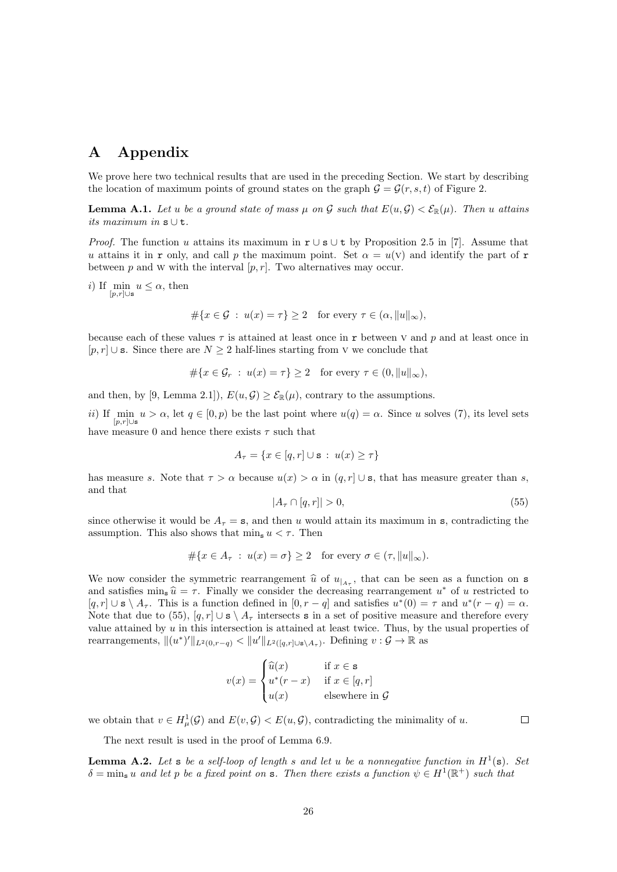## A Appendix

We prove here two technical results that are used in the preceding Section. We start by describing the location of maximum points of ground states on the graph  $G = \mathcal{G}(r, s, t)$  of Figure 2.

**Lemma A.1.** Let u be a ground state of mass  $\mu$  on G such that  $E(u, \mathcal{G}) < \mathcal{E}_{\mathbb{R}}(\mu)$ . Then u attains its maximum in  $s \cup t$ .

*Proof.* The function u attains its maximum in  $r \cup s \cup t$  by Proposition 2.5 in [7]. Assume that u attains it in r only, and call p the maximum point. Set  $\alpha = u(\nu)$  and identify the part of r between p and W with the interval  $[p, r]$ . Two alternatives may occur.

i) If min  $u \leq \alpha$ , then  $[p,r]$ ∪s

$$
\#\{x \in \mathcal{G} \ : \ u(x) = \tau\} \ge 2 \quad \text{for every } \tau \in (\alpha, \|u\|_{\infty}),
$$

because each of these values  $\tau$  is attained at least once in r between v and p and at least once in  $[p, r]$  ∪ s. Since there are  $N \geq 2$  half-lines starting from V we conclude that

$$
\#\{x \in \mathcal{G}_r \ : \ u(x) = \tau\} \ge 2 \quad \text{for every } \tau \in (0, \|u\|_{\infty}),
$$

and then, by [9, Lemma 2.1]),  $E(u, \mathcal{G}) \geq \mathcal{E}_{\mathbb{R}}(\mu)$ , contrary to the assumptions.

ii) If min  $u > \alpha$ , let  $q \in [0, p)$  be the last point where  $u(q) = \alpha$ . Since u solves (7), its level sets  $[p,r]$ ∪s have measure 0 and hence there exists  $\tau$  such that

$$
A_{\tau} = \{ x \in [q, r] \cup \mathbf{s} \; : \; u(x) \ge \tau \}
$$

has measure s. Note that  $\tau > \alpha$  because  $u(x) > \alpha$  in  $(q, r] \cup s$ , that has measure greater than s, and that

$$
|A_{\tau} \cap [q, r]| > 0,\tag{55}
$$

since otherwise it would be  $A_{\tau} = s$ , and then u would attain its maximum in s, contradicting the assumption. This also shows that  $\min_{s} u < \tau$ . Then

$$
\#\{x \in A_{\tau} : u(x) = \sigma\} \ge 2 \quad \text{for every } \sigma \in (\tau, \|u\|_{\infty}).
$$

We now consider the symmetric rearrangement  $\hat{u}$  of  $u_{A_{\tau}}$ , that can be seen as a function on s<br>and satisfies min  $\hat{u} = \tau$ . Finally we consider the degreesing rearrangement  $u^*$  of u restricted to and satisfies  $\min_{\mathbf{s}} \hat{u} = \tau$ . Finally we consider the decreasing rearrangement  $u^*$  of u restricted to  $\left[a, x\right] + \left[a, y\right] + \left[a, y\right]$ .  $[q, r] \cup s \setminus A_{\tau}$ . This is a function defined in  $[0, r - q]$  and satisfies  $u^*(0) = \tau$  and  $u^*(r - q) = \alpha$ . Note that due to (55),  $[q, r] \cup s \setminus A_\tau$  intersects s in a set of positive measure and therefore every value attained by  $u$  in this intersection is attained at least twice. Thus, by the usual properties of rearrangements,  $||(u^*)'||_{L^2(0,r-q)} < ||u'||_{L^2([q,r]\cup s\setminus A_\tau)}$ . Defining  $v : \mathcal{G} \to \mathbb{R}$  as

$$
v(x) = \begin{cases} \widehat{u}(x) & \text{if } x \in \mathbf{s} \\ u^*(r - x) & \text{if } x \in [q, r] \\ u(x) & \text{elsewhere in } \mathcal{G} \end{cases}
$$

we obtain that  $v \in H^1_\mu(\mathcal{G})$  and  $E(v,\mathcal{G}) < E(u,\mathcal{G})$ , contradicting the minimality of u.

 $\Box$ 

The next result is used in the proof of Lemma 6.9.

**Lemma A.2.** Let s be a self-loop of length s and let u be a nonnegative function in  $H^1(\mathbf{s})$ . Set  $\delta = \min_{s} u$  and let p be a fixed point on s. Then there exists a function  $\psi \in H^1(\mathbb{R}^+)$  such that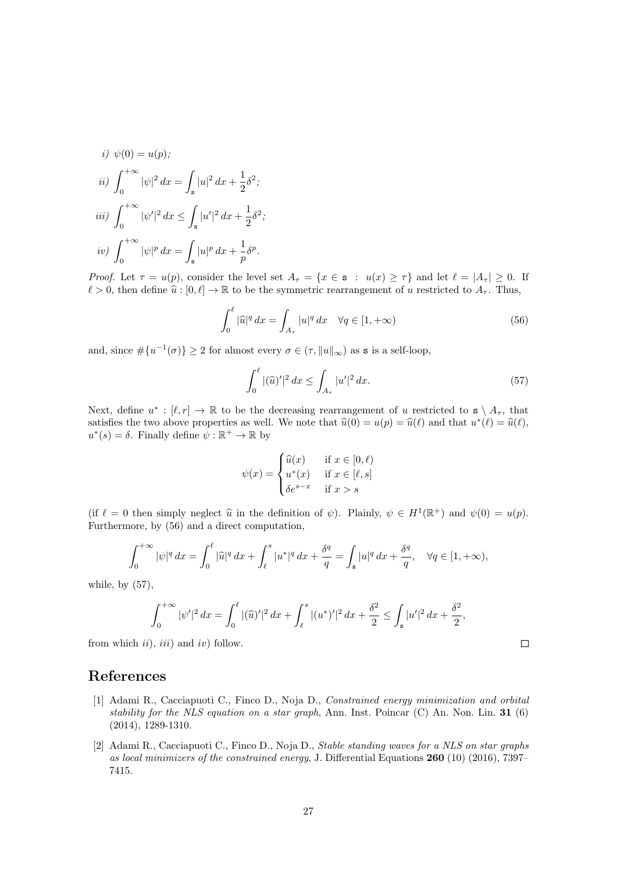*i)* 
$$
\psi(0) = u(p);
$$
  
\n*ii)*  $\int_0^{+\infty} |\psi|^2 dx = \int_s |u|^2 dx + \frac{1}{2} \delta^2;$   
\n*iii)*  $\int_0^{+\infty} |\psi'|^2 dx \le \int_s |u'|^2 dx + \frac{1}{2} \delta^2;$   
\n*iv)*  $\int_0^{+\infty} |\psi|^p dx = \int_s |u|^p dx + \frac{1}{p} \delta^p.$ 

*Proof.* Let  $\tau = u(p)$ , consider the level set  $A_{\tau} = \{x \in \mathbf{s} : u(x) \geq \tau\}$  and let  $\ell = |A_{\tau}| \geq 0$ . If  $\ell > 0$ , then define  $\hat{u}: [0, \ell] \to \mathbb{R}$  to be the symmetric rearrangement of u restricted to  $A_{\tau}$ . Thus,

$$
\int_0^\ell |\widehat{u}|^q dx = \int_{A_\tau} |u|^q dx \quad \forall q \in [1, +\infty)
$$
\n(56)

and, since  $\#\{u^{-1}(\sigma)\}\geq 2$  for almost every  $\sigma\in(\tau, \|u\|_{\infty})$  as **s** is a self-loop,

$$
\int_0^\ell |(\widehat{u})'|^2 \, dx \le \int_{A_\tau} |u'|^2 \, dx. \tag{57}
$$

 $\Box$ 

Next, define  $u^*: [\ell, r] \to \mathbb{R}$  to be the decreasing rearrangement of u restricted to  $s \setminus A_{\tau}$ , that satisfies the two above properties as well. We note that  $\hat{u}(0) = u(p) = \hat{u}(\ell)$  and that  $u^*(\ell) = \hat{u}(\ell)$ ,<br> $u^*(\ell) = \delta$ . Finally define  $\psi : \mathbb{R}^+ \to \mathbb{R}$  by  $u^*(s) = \delta$ . Finally define  $\psi : \mathbb{R}^+ \to \mathbb{R}$  by

$$
\psi(x) = \begin{cases} \widehat{u}(x) & \text{if } x \in [0, \ell) \\ u^*(x) & \text{if } x \in [\ell, s] \\ \delta e^{s-x} & \text{if } x > s \end{cases}
$$

(if  $\ell = 0$  then simply neglect  $\hat{u}$  in the definition of  $\psi$ ). Plainly,  $\psi \in H^1(\mathbb{R}^+)$  and  $\psi(0) = u(p)$ .<br>Furthermore, by (56) and a direct computation Furthermore, by (56) and a direct computation,

$$
\int_0^{+\infty} |\psi|^q \, dx = \int_0^{\ell} |\widehat{u}|^q \, dx + \int_{\ell}^s |u^*|^q \, dx + \frac{\delta^q}{q} = \int_s |u|^q \, dx + \frac{\delta^q}{q}, \quad \forall q \in [1, +\infty),
$$

while, by  $(57)$ ,

$$
\int_0^{+\infty} |\psi'|^2 dx = \int_0^{\ell} |(\widehat{u})'|^2 dx + \int_{\ell}^s |(u^*)'|^2 dx + \frac{\delta^2}{2} \le \int_s |u'|^2 dx + \frac{\delta^2}{2},
$$

from which  $ii$ ,  $iii$ ) and  $iv$ ) follow.

## References

- [1] Adami R., Cacciapuoti C., Finco D., Noja D., Constrained energy minimization and orbital stability for the NLS equation on a star graph, Ann. Inst. Poincar  $(C)$  An. Non. Lin. 31 (6) (2014), 1289-1310.
- [2] Adami R., Cacciapuoti C., Finco D., Noja D., Stable standing waves for a NLS on star graphs as local minimizers of the constrained energy, J. Differential Equations  $260$  (10) (2016), 7397– 7415.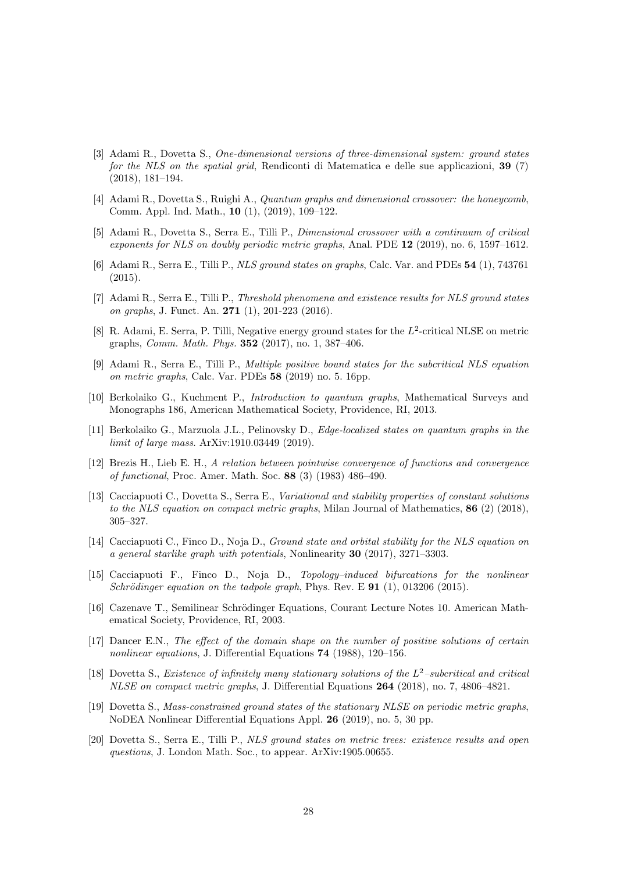- [3] Adami R., Dovetta S., One-dimensional versions of three-dimensional system: ground states for the NLS on the spatial grid, Rendiconti di Matematica e delle sue applicazioni, 39 (7) (2018), 181–194.
- [4] Adami R., Dovetta S., Ruighi A., Quantum graphs and dimensional crossover: the honeycomb, Comm. Appl. Ind. Math., 10 (1), (2019), 109–122.
- [5] Adami R., Dovetta S., Serra E., Tilli P., Dimensional crossover with a continuum of critical exponents for NLS on doubly periodic metric graphs, Anal. PDE 12 (2019), no. 6, 1597–1612.
- [6] Adami R., Serra E., Tilli P., NLS ground states on graphs, Calc. Var. and PDEs 54 (1), 743761 (2015).
- [7] Adami R., Serra E., Tilli P., Threshold phenomena and existence results for NLS ground states on graphs, J. Funct. An. 271 (1), 201-223 (2016).
- [8] R. Adami, E. Serra, P. Tilli, Negative energy ground states for the  $L^2$ -critical NLSE on metric graphs, Comm. Math. Phys. 352 (2017), no. 1, 387–406.
- [9] Adami R., Serra E., Tilli P., Multiple positive bound states for the subcritical NLS equation on metric graphs, Calc. Var. PDEs 58 (2019) no. 5. 16pp.
- [10] Berkolaiko G., Kuchment P., Introduction to quantum graphs, Mathematical Surveys and Monographs 186, American Mathematical Society, Providence, RI, 2013.
- [11] Berkolaiko G., Marzuola J.L., Pelinovsky D., Edge-localized states on quantum graphs in the limit of large mass. ArXiv:1910.03449 (2019).
- [12] Brezis H., Lieb E. H., A relation between pointwise convergence of functions and convergence of functional, Proc. Amer. Math. Soc. 88 (3) (1983) 486–490.
- [13] Cacciapuoti C., Dovetta S., Serra E., Variational and stability properties of constant solutions to the NLS equation on compact metric graphs, Milan Journal of Mathematics, 86 (2) (2018), 305–327.
- [14] Cacciapuoti C., Finco D., Noja D., Ground state and orbital stability for the NLS equation on a general starlike graph with potentials, Nonlinearity 30 (2017), 3271–3303.
- [15] Cacciapuoti F., Finco D., Noja D., Topology–induced bifurcations for the nonlinear Schrödinger equation on the tadpole graph, Phys. Rev. E  $91$  (1), 013206 (2015).
- [16] Cazenave T., Semilinear Schrödinger Equations, Courant Lecture Notes 10. American Mathematical Society, Providence, RI, 2003.
- [17] Dancer E.N., The effect of the domain shape on the number of positive solutions of certain nonlinear equations, J. Differential Equations 74 (1988), 120–156.
- [18] Dovetta S., Existence of infinitely many stationary solutions of the  $L^2$ -subcritical and critical NLSE on compact metric graphs, J. Differential Equations 264 (2018), no. 7, 4806–4821.
- [19] Dovetta S., Mass-constrained ground states of the stationary NLSE on periodic metric graphs, NoDEA Nonlinear Differential Equations Appl. 26 (2019), no. 5, 30 pp.
- [20] Dovetta S., Serra E., Tilli P., NLS ground states on metric trees: existence results and open questions, J. London Math. Soc., to appear. ArXiv:1905.00655.